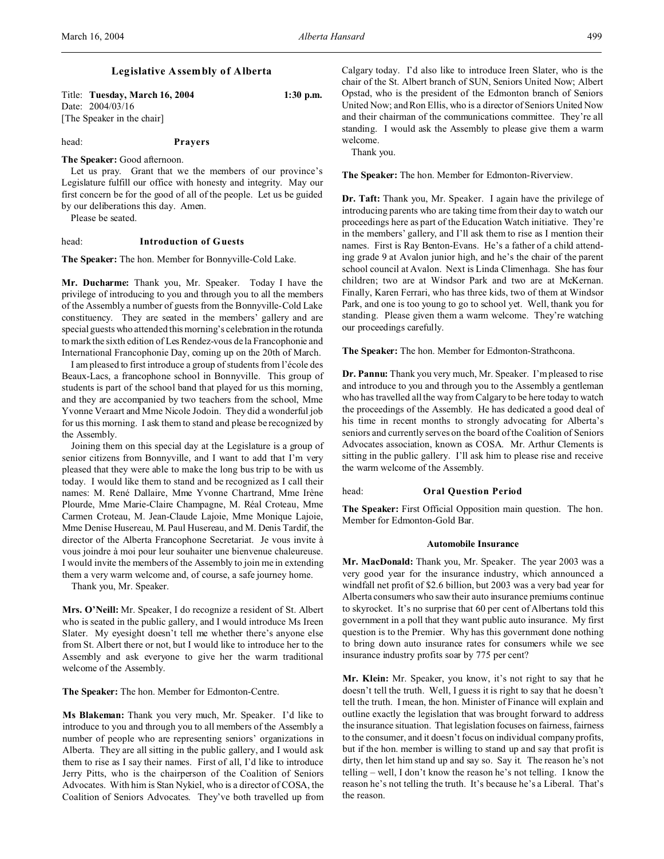Title: **Tuesday, March 16, 2004 1:30 p.m.** Date: 2004/03/16 [The Speaker in the chair]

head: **Prayers**

**The Speaker:** Good afternoon.

Let us pray. Grant that we the members of our province's Legislature fulfill our office with honesty and integrity. May our first concern be for the good of all of the people. Let us be guided by our deliberations this day. Amen.

Please be seated.

# head: **Introduction of Guests**

**The Speaker:** The hon. Member for Bonnyville-Cold Lake.

**Mr. Ducharme:** Thank you, Mr. Speaker. Today I have the privilege of introducing to you and through you to all the members of the Assembly a number of guests from the Bonnyville-Cold Lake constituency. They are seated in the members' gallery and are special guests who attended this morning's celebration in the rotunda to mark the sixth edition of Les Rendez-vous de la Francophonie and International Francophonie Day, coming up on the 20th of March.

I am pleased to first introduce a group of students from l'école des Beaux-Lacs, a francophone school in Bonnyville. This group of students is part of the school band that played for us this morning, and they are accompanied by two teachers from the school, Mme Yvonne Veraart and Mme Nicole Jodoin. They did a wonderful job for us this morning. I ask them to stand and please be recognized by the Assembly.

Joining them on this special day at the Legislature is a group of senior citizens from Bonnyville, and I want to add that I'm very pleased that they were able to make the long bus trip to be with us today. I would like them to stand and be recognized as I call their names: M. René Dallaire, Mme Yvonne Chartrand, Mme Irène Plourde, Mme Marie-Claire Champagne, M. Réal Croteau, Mme Carmen Croteau, M. Jean-Claude Lajoie, Mme Monique Lajoie, Mme Denise Husereau, M. Paul Husereau, and M. Denis Tardif, the director of the Alberta Francophone Secretariat. Je vous invite à vous joindre à moi pour leur souhaiter une bienvenue chaleureuse. I would invite the members of the Assembly to join me in extending them a very warm welcome and, of course, a safe journey home.

Thank you, Mr. Speaker.

**Mrs. O'Neill:** Mr. Speaker, I do recognize a resident of St. Albert who is seated in the public gallery, and I would introduce Ms Ireen Slater. My eyesight doesn't tell me whether there's anyone else from St. Albert there or not, but I would like to introduce her to the Assembly and ask everyone to give her the warm traditional welcome of the Assembly.

**The Speaker:** The hon. Member for Edmonton-Centre.

**Ms Blakeman:** Thank you very much, Mr. Speaker. I'd like to introduce to you and through you to all members of the Assembly a number of people who are representing seniors' organizations in Alberta. They are all sitting in the public gallery, and I would ask them to rise as I say their names. First of all, I'd like to introduce Jerry Pitts, who is the chairperson of the Coalition of Seniors Advocates. With him is Stan Nykiel, who is a director of COSA, the Coalition of Seniors Advocates. They've both travelled up from

Calgary today. I'd also like to introduce Ireen Slater, who is the chair of the St. Albert branch of SUN, Seniors United Now; Albert Opstad, who is the president of the Edmonton branch of Seniors United Now; and Ron Ellis, who is a director of Seniors United Now and their chairman of the communications committee. They're all standing. I would ask the Assembly to please give them a warm welcome.

Thank you.

**The Speaker:** The hon. Member for Edmonton-Riverview.

**Dr. Taft:** Thank you, Mr. Speaker. I again have the privilege of introducing parents who are taking time from their day to watch our proceedings here as part of the Education Watch initiative. They're in the members' gallery, and I'll ask them to rise as I mention their names. First is Ray Benton-Evans. He's a father of a child attending grade 9 at Avalon junior high, and he's the chair of the parent school council at Avalon. Next is Linda Climenhaga. She has four children; two are at Windsor Park and two are at McKernan. Finally, Karen Ferrari, who has three kids, two of them at Windsor Park, and one is too young to go to school yet. Well, thank you for standing. Please given them a warm welcome. They're watching our proceedings carefully.

**The Speaker:** The hon. Member for Edmonton-Strathcona.

**Dr. Pannu:** Thank you very much, Mr. Speaker. I'm pleased to rise and introduce to you and through you to the Assembly a gentleman who has travelled all the way from Calgary to be here today to watch the proceedings of the Assembly. He has dedicated a good deal of his time in recent months to strongly advocating for Alberta's seniors and currently serves on the board of the Coalition of Seniors Advocates association, known as COSA. Mr. Arthur Clements is sitting in the public gallery. I'll ask him to please rise and receive the warm welcome of the Assembly.

### head: **Oral Question Period**

**The Speaker:** First Official Opposition main question. The hon. Member for Edmonton-Gold Bar.

### **Automobile Insurance**

**Mr. MacDonald:** Thank you, Mr. Speaker. The year 2003 was a very good year for the insurance industry, which announced a windfall net profit of \$2.6 billion, but 2003 was a very bad year for Alberta consumers who saw their auto insurance premiums continue to skyrocket. It's no surprise that 60 per cent of Albertans told this government in a poll that they want public auto insurance. My first question is to the Premier. Why has this government done nothing to bring down auto insurance rates for consumers while we see insurance industry profits soar by 775 per cent?

**Mr. Klein:** Mr. Speaker, you know, it's not right to say that he doesn't tell the truth. Well, I guess it is right to say that he doesn't tell the truth. I mean, the hon. Minister of Finance will explain and outline exactly the legislation that was brought forward to address the insurance situation. That legislation focuses on fairness, fairness to the consumer, and it doesn't focus on individual company profits, but if the hon. member is willing to stand up and say that profit is dirty, then let him stand up and say so. Say it. The reason he's not telling – well, I don't know the reason he's not telling. I know the reason he's not telling the truth. It's because he's a Liberal. That's the reason.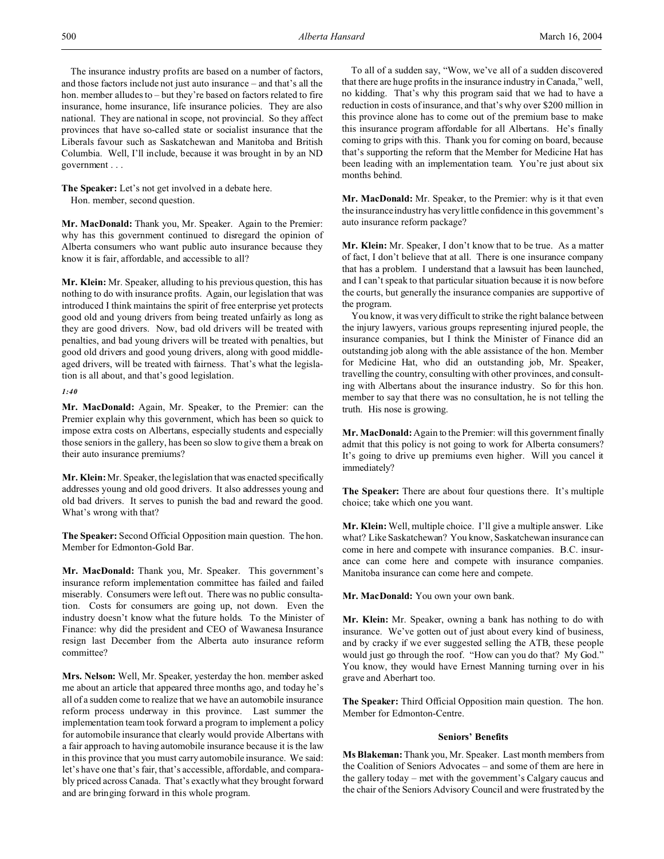The insurance industry profits are based on a number of factors, and those factors include not just auto insurance – and that's all the hon. member alludes to – but they're based on factors related to fire insurance, home insurance, life insurance policies. They are also national. They are national in scope, not provincial. So they affect provinces that have so-called state or socialist insurance that the Liberals favour such as Saskatchewan and Manitoba and British Columbia. Well, I'll include, because it was brought in by an ND government . . .

**The Speaker:** Let's not get involved in a debate here. Hon. member, second question.

**Mr. MacDonald:** Thank you, Mr. Speaker. Again to the Premier: why has this government continued to disregard the opinion of Alberta consumers who want public auto insurance because they know it is fair, affordable, and accessible to all?

**Mr. Klein:** Mr. Speaker, alluding to his previous question, this has nothing to do with insurance profits. Again, our legislation that was introduced I think maintains the spirit of free enterprise yet protects good old and young drivers from being treated unfairly as long as they are good drivers. Now, bad old drivers will be treated with penalties, and bad young drivers will be treated with penalties, but good old drivers and good young drivers, along with good middleaged drivers, will be treated with fairness. That's what the legislation is all about, and that's good legislation.

# *1:40*

**Mr. MacDonald:** Again, Mr. Speaker, to the Premier: can the Premier explain why this government, which has been so quick to impose extra costs on Albertans, especially students and especially those seniors in the gallery, has been so slow to give them a break on their auto insurance premiums?

**Mr. Klein:** Mr. Speaker, the legislation that was enacted specifically addresses young and old good drivers. It also addresses young and old bad drivers. It serves to punish the bad and reward the good. What's wrong with that?

**The Speaker:** Second Official Opposition main question. The hon. Member for Edmonton-Gold Bar.

**Mr. MacDonald:** Thank you, Mr. Speaker. This government's insurance reform implementation committee has failed and failed miserably. Consumers were left out. There was no public consultation. Costs for consumers are going up, not down. Even the industry doesn't know what the future holds. To the Minister of Finance: why did the president and CEO of Wawanesa Insurance resign last December from the Alberta auto insurance reform committee?

**Mrs. Nelson:** Well, Mr. Speaker, yesterday the hon. member asked me about an article that appeared three months ago, and today he's all of a sudden come to realize that we have an automobile insurance reform process underway in this province. Last summer the implementation team took forward a program to implement a policy for automobile insurance that clearly would provide Albertans with a fair approach to having automobile insurance because it is the law in this province that you must carry automobile insurance. We said: let's have one that's fair, that's accessible, affordable, and comparably priced across Canada. That's exactly what they brought forward and are bringing forward in this whole program.

To all of a sudden say, "Wow, we've all of a sudden discovered that there are huge profits in the insurance industry in Canada," well, no kidding. That's why this program said that we had to have a reduction in costs of insurance, and that's why over \$200 million in this province alone has to come out of the premium base to make this insurance program affordable for all Albertans. He's finally coming to grips with this. Thank you for coming on board, because that's supporting the reform that the Member for Medicine Hat has been leading with an implementation team. You're just about six months behind.

**Mr. MacDonald:** Mr. Speaker, to the Premier: why is it that even the insurance industry has very little confidence in this government's auto insurance reform package?

**Mr. Klein:** Mr. Speaker, I don't know that to be true. As a matter of fact, I don't believe that at all. There is one insurance company that has a problem. I understand that a lawsuit has been launched, and I can't speak to that particular situation because it is now before the courts, but generally the insurance companies are supportive of the program.

You know, it was very difficult to strike the right balance between the injury lawyers, various groups representing injured people, the insurance companies, but I think the Minister of Finance did an outstanding job along with the able assistance of the hon. Member for Medicine Hat, who did an outstanding job, Mr. Speaker, travelling the country, consulting with other provinces, and consulting with Albertans about the insurance industry. So for this hon. member to say that there was no consultation, he is not telling the truth. His nose is growing.

**Mr. MacDonald:** Again to the Premier: will this government finally admit that this policy is not going to work for Alberta consumers? It's going to drive up premiums even higher. Will you cancel it immediately?

**The Speaker:** There are about four questions there. It's multiple choice; take which one you want.

**Mr. Klein:** Well, multiple choice. I'll give a multiple answer. Like what? Like Saskatchewan? You know, Saskatchewan insurance can come in here and compete with insurance companies. B.C. insurance can come here and compete with insurance companies. Manitoba insurance can come here and compete.

**Mr. MacDonald:** You own your own bank.

**Mr. Klein:** Mr. Speaker, owning a bank has nothing to do with insurance. We've gotten out of just about every kind of business, and by cracky if we ever suggested selling the ATB, these people would just go through the roof. "How can you do that? My God." You know, they would have Ernest Manning turning over in his grave and Aberhart too.

**The Speaker:** Third Official Opposition main question. The hon. Member for Edmonton-Centre.

# **Seniors' Benefits**

**Ms Blakeman:** Thank you, Mr. Speaker. Last month members from the Coalition of Seniors Advocates – and some of them are here in the gallery today – met with the government's Calgary caucus and the chair of the Seniors Advisory Council and were frustrated by the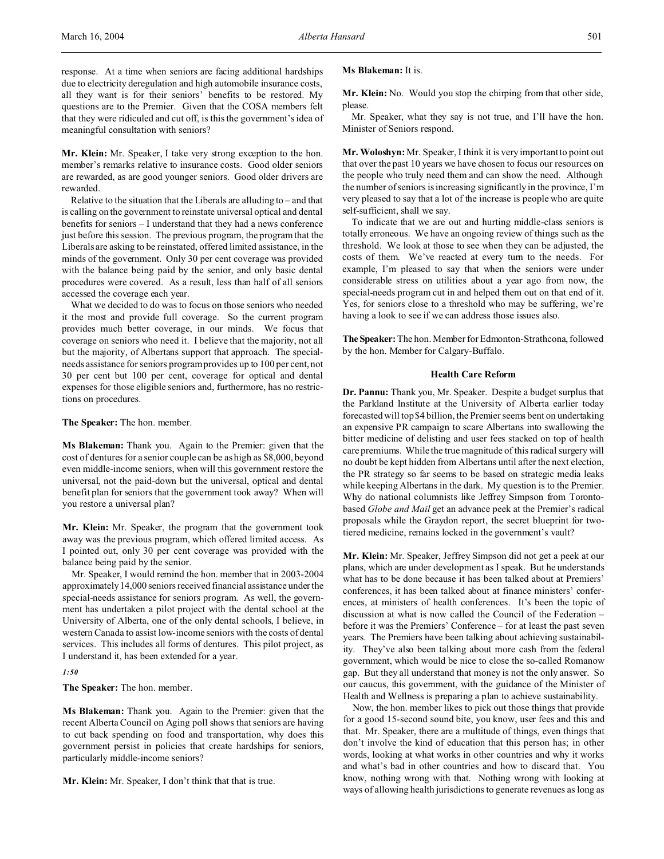**Mr. Klein:** Mr. Speaker, I take very strong exception to the hon. member's remarks relative to insurance costs. Good older seniors are rewarded, as are good younger seniors. Good older drivers are rewarded.

Relative to the situation that the Liberals are alluding to – and that is calling on the government to reinstate universal optical and dental benefits for seniors – I understand that they had a news conference just before this session. The previous program, the program that the Liberals are asking to be reinstated, offered limited assistance, in the minds of the government. Only 30 per cent coverage was provided with the balance being paid by the senior, and only basic dental procedures were covered. As a result, less than half of all seniors accessed the coverage each year.

What we decided to do was to focus on those seniors who needed it the most and provide full coverage. So the current program provides much better coverage, in our minds. We focus that coverage on seniors who need it. I believe that the majority, not all but the majority, of Albertans support that approach. The specialneeds assistance for seniors program provides up to 100 per cent, not 30 per cent but 100 per cent, coverage for optical and dental expenses for those eligible seniors and, furthermore, has no restrictions on procedures.

**The Speaker:** The hon. member.

**Ms Blakeman:** Thank you. Again to the Premier: given that the cost of dentures for a senior couple can be as high as \$8,000, beyond even middle-income seniors, when will this government restore the universal, not the paid-down but the universal, optical and dental benefit plan for seniors that the government took away? When will you restore a universal plan?

**Mr. Klein:** Mr. Speaker, the program that the government took away was the previous program, which offered limited access. As I pointed out, only 30 per cent coverage was provided with the balance being paid by the senior.

Mr. Speaker, I would remind the hon. member that in 2003-2004 approximately 14,000 seniors received financial assistance under the special-needs assistance for seniors program. As well, the government has undertaken a pilot project with the dental school at the University of Alberta, one of the only dental schools, I believe, in western Canada to assist low-income seniors with the costs of dental services. This includes all forms of dentures. This pilot project, as I understand it, has been extended for a year.

#### *1:50*

**The Speaker:** The hon. member.

**Ms Blakeman:** Thank you. Again to the Premier: given that the recent Alberta Council on Aging poll shows that seniors are having to cut back spending on food and transportation, why does this government persist in policies that create hardships for seniors, particularly middle-income seniors?

**Mr. Klein:** Mr. Speaker, I don't think that that is true.

# **Ms Blakeman:** It is.

**Mr. Klein:** No. Would you stop the chirping from that other side, please.

Mr. Speaker, what they say is not true, and I'll have the hon. Minister of Seniors respond.

**Mr. Woloshyn:** Mr. Speaker, I think it is very important to point out that over the past 10 years we have chosen to focus our resources on the people who truly need them and can show the need. Although the number of seniors is increasing significantly in the province, I'm very pleased to say that a lot of the increase is people who are quite self-sufficient, shall we say.

To indicate that we are out and hurting middle-class seniors is totally erroneous. We have an ongoing review of things such as the threshold. We look at those to see when they can be adjusted, the costs of them. We've reacted at every turn to the needs. For example, I'm pleased to say that when the seniors were under considerable stress on utilities about a year ago from now, the special-needs program cut in and helped them out on that end of it. Yes, for seniors close to a threshold who may be suffering, we're having a look to see if we can address those issues also.

**TheSpeaker:** The hon. Member for Edmonton-Strathcona, followed by the hon. Member for Calgary-Buffalo.

## **Health Care Reform**

**Dr. Pannu:** Thank you, Mr. Speaker. Despite a budget surplus that the Parkland Institute at the University of Alberta earlier today forecasted will top \$4 billion, the Premier seems bent on undertaking an expensive PR campaign to scare Albertans into swallowing the bitter medicine of delisting and user fees stacked on top of health care premiums. While the true magnitude of this radical surgery will no doubt be kept hidden from Albertans until after the next election, the PR strategy so far seems to be based on strategic media leaks while keeping Albertans in the dark. My question is to the Premier. Why do national columnists like Jeffrey Simpson from Torontobased *Globe and Mail* get an advance peek at the Premier's radical proposals while the Graydon report, the secret blueprint for twotiered medicine, remains locked in the government's vault?

**Mr. Klein:** Mr. Speaker, Jeffrey Simpson did not get a peek at our plans, which are under development as I speak. But he understands what has to be done because it has been talked about at Premiers' conferences, it has been talked about at finance ministers' conferences, at ministers of health conferences. It's been the topic of discussion at what is now called the Council of the Federation – before it was the Premiers' Conference – for at least the past seven years. The Premiers have been talking about achieving sustainability. They've also been talking about more cash from the federal government, which would be nice to close the so-called Romanow gap. But they all understand that money is not the only answer. So our caucus, this government, with the guidance of the Minister of Health and Wellness is preparing a plan to achieve sustainability.

Now, the hon. member likes to pick out those things that provide for a good 15-second sound bite, you know, user fees and this and that. Mr. Speaker, there are a multitude of things, even things that don't involve the kind of education that this person has; in other words, looking at what works in other countries and why it works and what's bad in other countries and how to discard that. You know, nothing wrong with that. Nothing wrong with looking at ways of allowing health jurisdictions to generate revenues as long as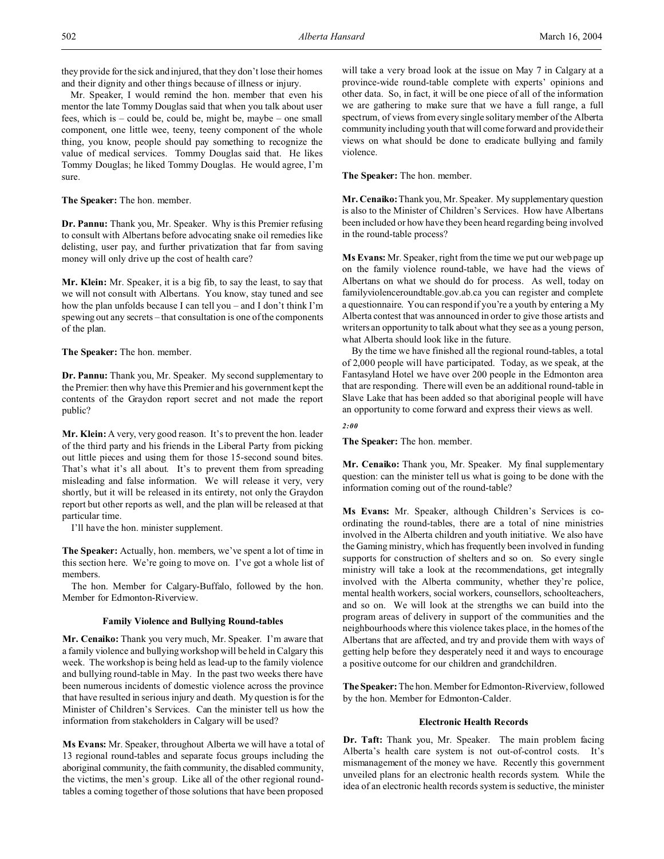they provide for the sick and injured, that they don't lose their homes and their dignity and other things because of illness or injury.

Mr. Speaker, I would remind the hon. member that even his mentor the late Tommy Douglas said that when you talk about user fees, which is – could be, could be, might be, maybe – one small component, one little wee, teeny, teeny component of the whole thing, you know, people should pay something to recognize the value of medical services. Tommy Douglas said that. He likes Tommy Douglas; he liked Tommy Douglas. He would agree, I'm sure.

**The Speaker:** The hon. member.

**Dr. Pannu:** Thank you, Mr. Speaker. Why is this Premier refusing to consult with Albertans before advocating snake oil remedies like delisting, user pay, and further privatization that far from saving money will only drive up the cost of health care?

**Mr. Klein:** Mr. Speaker, it is a big fib, to say the least, to say that we will not consult with Albertans. You know, stay tuned and see how the plan unfolds because I can tell you – and I don't think I'm spewing out any secrets – that consultation is one of the components of the plan.

**The Speaker:** The hon. member.

**Dr. Pannu:** Thank you, Mr. Speaker. My second supplementary to the Premier: then why have this Premier and his government kept the contents of the Graydon report secret and not made the report public?

**Mr. Klein:** A very, very good reason. It's to prevent the hon. leader of the third party and his friends in the Liberal Party from picking out little pieces and using them for those 15-second sound bites. That's what it's all about. It's to prevent them from spreading misleading and false information. We will release it very, very shortly, but it will be released in its entirety, not only the Graydon report but other reports as well, and the plan will be released at that particular time.

I'll have the hon. minister supplement.

**The Speaker:** Actually, hon. members, we've spent a lot of time in this section here. We're going to move on. I've got a whole list of members.

The hon. Member for Calgary-Buffalo, followed by the hon. Member for Edmonton-Riverview.

# **Family Violence and Bullying Round-tables**

**Mr. Cenaiko:** Thank you very much, Mr. Speaker. I'm aware that a family violence and bullying workshop will be held in Calgary this week. The workshop is being held as lead-up to the family violence and bullying round-table in May. In the past two weeks there have been numerous incidents of domestic violence across the province that have resulted in serious injury and death. My question is for the Minister of Children's Services. Can the minister tell us how the information from stakeholders in Calgary will be used?

**Ms Evans:** Mr. Speaker, throughout Alberta we will have a total of 13 regional round-tables and separate focus groups including the aboriginal community, the faith community, the disabled community, the victims, the men's group. Like all of the other regional roundtables a coming together of those solutions that have been proposed

will take a very broad look at the issue on May 7 in Calgary at a province-wide round-table complete with experts' opinions and other data. So, in fact, it will be one piece of all of the information we are gathering to make sure that we have a full range, a full spectrum, of views from every single solitary member of the Alberta community including youth that will come forward and provide their views on what should be done to eradicate bullying and family violence.

**The Speaker:** The hon. member.

**Mr. Cenaiko:** Thank you, Mr. Speaker. My supplementary question is also to the Minister of Children's Services. How have Albertans been included or how have they been heard regarding being involved in the round-table process?

**Ms Evans:** Mr. Speaker, right from the time we put our web page up on the family violence round-table, we have had the views of Albertans on what we should do for process. As well, today on familyviolenceroundtable.gov.ab.ca you can register and complete a questionnaire. You can respond if you're a youth by entering a My Alberta contest that was announced in order to give those artists and writers an opportunity to talk about what they see as a young person, what Alberta should look like in the future.

By the time we have finished all the regional round-tables, a total of 2,000 people will have participated. Today, as we speak, at the Fantasyland Hotel we have over 200 people in the Edmonton area that are responding. There will even be an additional round-table in Slave Lake that has been added so that aboriginal people will have an opportunity to come forward and express their views as well.

*2:00*

**The Speaker:** The hon. member.

**Mr. Cenaiko:** Thank you, Mr. Speaker. My final supplementary question: can the minister tell us what is going to be done with the information coming out of the round-table?

**Ms Evans:** Mr. Speaker, although Children's Services is coordinating the round-tables, there are a total of nine ministries involved in the Alberta children and youth initiative. We also have the Gaming ministry, which has frequently been involved in funding supports for construction of shelters and so on. So every single ministry will take a look at the recommendations, get integrally involved with the Alberta community, whether they're police, mental health workers, social workers, counsellors, schoolteachers, and so on. We will look at the strengths we can build into the program areas of delivery in support of the communities and the neighbourhoods where this violence takes place, in the homes of the Albertans that are affected, and try and provide them with ways of getting help before they desperately need it and ways to encourage a positive outcome for our children and grandchildren.

**The Speaker:** The hon. Member for Edmonton-Riverview, followed by the hon. Member for Edmonton-Calder.

# **Electronic Health Records**

**Dr. Taft:** Thank you, Mr. Speaker. The main problem facing Alberta's health care system is not out-of-control costs. It's mismanagement of the money we have. Recently this government unveiled plans for an electronic health records system. While the idea of an electronic health records system is seductive, the minister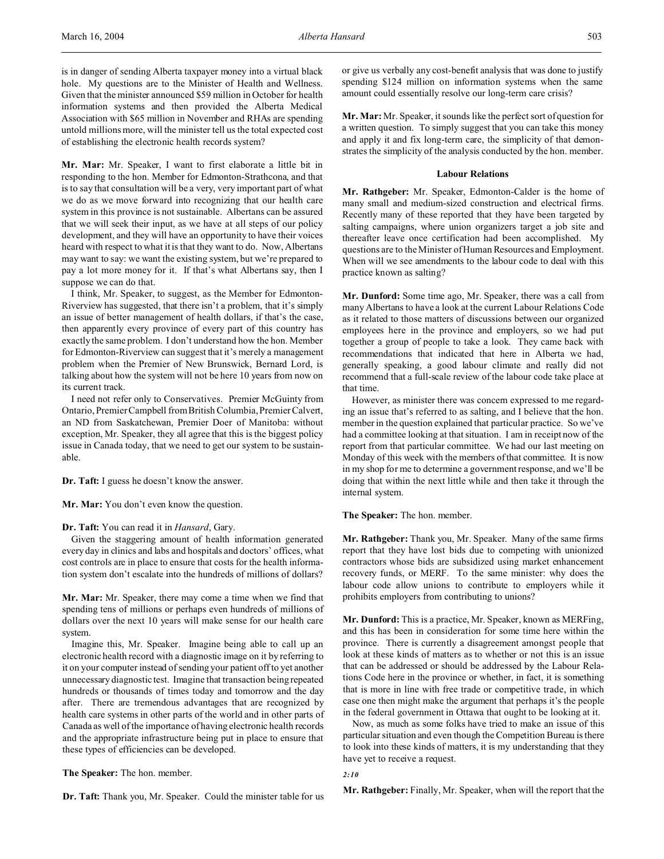is in danger of sending Alberta taxpayer money into a virtual black hole. My questions are to the Minister of Health and Wellness. Given that the minister announced \$59 million in October for health information systems and then provided the Alberta Medical Association with \$65 million in November and RHAs are spending untold millions more, will the minister tell us the total expected cost of establishing the electronic health records system?

**Mr. Mar:** Mr. Speaker, I want to first elaborate a little bit in responding to the hon. Member for Edmonton-Strathcona, and that is to say that consultation will be a very, very important part of what we do as we move forward into recognizing that our health care system in this province is not sustainable. Albertans can be assured that we will seek their input, as we have at all steps of our policy development, and they will have an opportunity to have their voices heard with respect to what it is that they want to do. Now, Albertans may want to say: we want the existing system, but we're prepared to pay a lot more money for it. If that's what Albertans say, then I suppose we can do that.

I think, Mr. Speaker, to suggest, as the Member for Edmonton-Riverview has suggested, that there isn't a problem, that it's simply an issue of better management of health dollars, if that's the case, then apparently every province of every part of this country has exactly the same problem. I don't understand how the hon. Member for Edmonton-Riverview can suggest that it's merely a management problem when the Premier of New Brunswick, Bernard Lord, is talking about how the system will not be here 10 years from now on its current track.

I need not refer only to Conservatives. Premier McGuinty from Ontario, Premier Campbell from British Columbia, Premier Calvert, an ND from Saskatchewan, Premier Doer of Manitoba: without exception, Mr. Speaker, they all agree that this is the biggest policy issue in Canada today, that we need to get our system to be sustainable.

**Dr. Taft:** I guess he doesn't know the answer.

**Mr. Mar:** You don't even know the question.

### **Dr. Taft:** You can read it in *Hansard*, Gary.

Given the staggering amount of health information generated every day in clinics and labs and hospitals and doctors' offices, what cost controls are in place to ensure that costs for the health information system don't escalate into the hundreds of millions of dollars?

**Mr. Mar:** Mr. Speaker, there may come a time when we find that spending tens of millions or perhaps even hundreds of millions of dollars over the next 10 years will make sense for our health care system.

Imagine this, Mr. Speaker. Imagine being able to call up an electronic health record with a diagnostic image on it by referring to it on your computer instead of sending your patient off to yet another unnecessary diagnostic test. Imagine that transaction being repeated hundreds or thousands of times today and tomorrow and the day after. There are tremendous advantages that are recognized by health care systems in other parts of the world and in other parts of Canada as well of the importance of having electronic health records and the appropriate infrastructure being put in place to ensure that these types of efficiencies can be developed.

# **The Speaker:** The hon. member.

**Dr. Taft:** Thank you, Mr. Speaker. Could the minister table for us

or give us verbally any cost-benefit analysis that was done to justify spending \$124 million on information systems when the same amount could essentially resolve our long-term care crisis?

**Mr. Mar:** Mr. Speaker, it sounds like the perfect sort of question for a written question. To simply suggest that you can take this money and apply it and fix long-term care, the simplicity of that demonstrates the simplicity of the analysis conducted by the hon. member.

## **Labour Relations**

**Mr. Rathgeber:** Mr. Speaker, Edmonton-Calder is the home of many small and medium-sized construction and electrical firms. Recently many of these reported that they have been targeted by salting campaigns, where union organizers target a job site and thereafter leave once certification had been accomplished. My questions are to the Minister of Human Resources and Employment. When will we see amendments to the labour code to deal with this practice known as salting?

**Mr. Dunford:** Some time ago, Mr. Speaker, there was a call from many Albertans to have a look at the current Labour Relations Code as it related to those matters of discussions between our organized employees here in the province and employers, so we had put together a group of people to take a look. They came back with recommendations that indicated that here in Alberta we had, generally speaking, a good labour climate and really did not recommend that a full-scale review of the labour code take place at that time.

However, as minister there was concern expressed to me regarding an issue that's referred to as salting, and I believe that the hon. member in the question explained that particular practice. So we've had a committee looking at that situation. I am in receipt now of the report from that particular committee. We had our last meeting on Monday of this week with the members of that committee. It is now in my shop for me to determine a government response, and we'll be doing that within the next little while and then take it through the internal system.

## **The Speaker:** The hon. member.

**Mr. Rathgeber:** Thank you, Mr. Speaker. Many of the same firms report that they have lost bids due to competing with unionized contractors whose bids are subsidized using market enhancement recovery funds, or MERF. To the same minister: why does the labour code allow unions to contribute to employers while it prohibits employers from contributing to unions?

**Mr. Dunford:** This is a practice, Mr. Speaker, known as MERFing, and this has been in consideration for some time here within the province. There is currently a disagreement amongst people that look at these kinds of matters as to whether or not this is an issue that can be addressed or should be addressed by the Labour Relations Code here in the province or whether, in fact, it is something that is more in line with free trade or competitive trade, in which case one then might make the argument that perhaps it's the people in the federal government in Ottawa that ought to be looking at it.

Now, as much as some folks have tried to make an issue of this particular situation and even though the Competition Bureau is there to look into these kinds of matters, it is my understanding that they have yet to receive a request.

# *2:10*

**Mr. Rathgeber:** Finally, Mr. Speaker, when will the report that the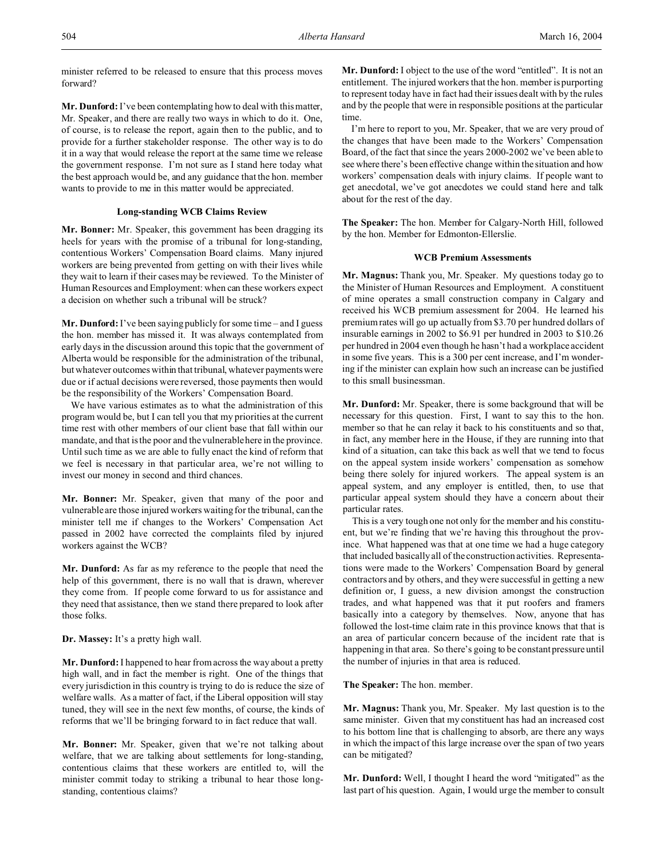minister referred to be released to ensure that this process moves forward?

**Mr. Dunford:** I've been contemplating how to deal with this matter, Mr. Speaker, and there are really two ways in which to do it. One, of course, is to release the report, again then to the public, and to provide for a further stakeholder response. The other way is to do it in a way that would release the report at the same time we release the government response. I'm not sure as I stand here today what the best approach would be, and any guidance that the hon. member wants to provide to me in this matter would be appreciated.

# **Long-standing WCB Claims Review**

**Mr. Bonner:** Mr. Speaker, this government has been dragging its heels for years with the promise of a tribunal for long-standing, contentious Workers' Compensation Board claims. Many injured workers are being prevented from getting on with their lives while they wait to learn if their cases may be reviewed. To the Minister of Human Resources and Employment: when can these workers expect a decision on whether such a tribunal will be struck?

**Mr. Dunford:** I've been saying publicly for some time – and I guess the hon. member has missed it. It was always contemplated from early days in the discussion around this topic that the government of Alberta would be responsible for the administration of the tribunal, but whatever outcomes within that tribunal, whatever payments were due or if actual decisions were reversed, those payments then would be the responsibility of the Workers' Compensation Board.

We have various estimates as to what the administration of this program would be, but I can tell you that my priorities at the current time rest with other members of our client base that fall within our mandate, and that is the poor and the vulnerable here in the province. Until such time as we are able to fully enact the kind of reform that we feel is necessary in that particular area, we're not willing to invest our money in second and third chances.

**Mr. Bonner:** Mr. Speaker, given that many of the poor and vulnerable are those injured workers waiting for the tribunal, can the minister tell me if changes to the Workers' Compensation Act passed in 2002 have corrected the complaints filed by injured workers against the WCB?

**Mr. Dunford:** As far as my reference to the people that need the help of this government, there is no wall that is drawn, wherever they come from. If people come forward to us for assistance and they need that assistance, then we stand there prepared to look after those folks.

**Dr. Massey:** It's a pretty high wall.

**Mr. Dunford:** I happened to hear from across the way about a pretty high wall, and in fact the member is right. One of the things that every jurisdiction in this country is trying to do is reduce the size of welfare walls. As a matter of fact, if the Liberal opposition will stay tuned, they will see in the next few months, of course, the kinds of reforms that we'll be bringing forward to in fact reduce that wall.

**Mr. Bonner:** Mr. Speaker, given that we're not talking about welfare, that we are talking about settlements for long-standing, contentious claims that these workers are entitled to, will the minister commit today to striking a tribunal to hear those longstanding, contentious claims?

**Mr. Dunford:** I object to the use of the word "entitled". It is not an entitlement. The injured workers that the hon. member is purporting to represent today have in fact had their issues dealt with by the rules and by the people that were in responsible positions at the particular time.

I'm here to report to you, Mr. Speaker, that we are very proud of the changes that have been made to the Workers' Compensation Board, of the fact that since the years 2000-2002 we've been able to see where there's been effective change within the situation and how workers' compensation deals with injury claims. If people want to get anecdotal, we've got anecdotes we could stand here and talk about for the rest of the day.

**The Speaker:** The hon. Member for Calgary-North Hill, followed by the hon. Member for Edmonton-Ellerslie.

# **WCB Premium Assessments**

**Mr. Magnus:** Thank you, Mr. Speaker. My questions today go to the Minister of Human Resources and Employment. A constituent of mine operates a small construction company in Calgary and received his WCB premium assessment for 2004. He learned his premium rates will go up actually from \$3.70 per hundred dollars of insurable earnings in 2002 to \$6.91 per hundred in 2003 to \$10.26 per hundred in 2004 even though he hasn't had a workplace accident in some five years. This is a 300 per cent increase, and I'm wondering if the minister can explain how such an increase can be justified to this small businessman.

**Mr. Dunford:** Mr. Speaker, there is some background that will be necessary for this question. First, I want to say this to the hon. member so that he can relay it back to his constituents and so that, in fact, any member here in the House, if they are running into that kind of a situation, can take this back as well that we tend to focus on the appeal system inside workers' compensation as somehow being there solely for injured workers. The appeal system is an appeal system, and any employer is entitled, then, to use that particular appeal system should they have a concern about their particular rates.

This is a very tough one not only for the member and his constituent, but we're finding that we're having this throughout the province. What happened was that at one time we had a huge category that included basically all of the construction activities. Representations were made to the Workers' Compensation Board by general contractors and by others, and they were successful in getting a new definition or, I guess, a new division amongst the construction trades, and what happened was that it put roofers and framers basically into a category by themselves. Now, anyone that has followed the lost-time claim rate in this province knows that that is an area of particular concern because of the incident rate that is happening in that area. So there's going to be constant pressure until the number of injuries in that area is reduced.

**The Speaker:** The hon. member.

**Mr. Magnus:** Thank you, Mr. Speaker. My last question is to the same minister. Given that my constituent has had an increased cost to his bottom line that is challenging to absorb, are there any ways in which the impact of this large increase over the span of two years can be mitigated?

**Mr. Dunford:** Well, I thought I heard the word "mitigated" as the last part of his question. Again, I would urge the member to consult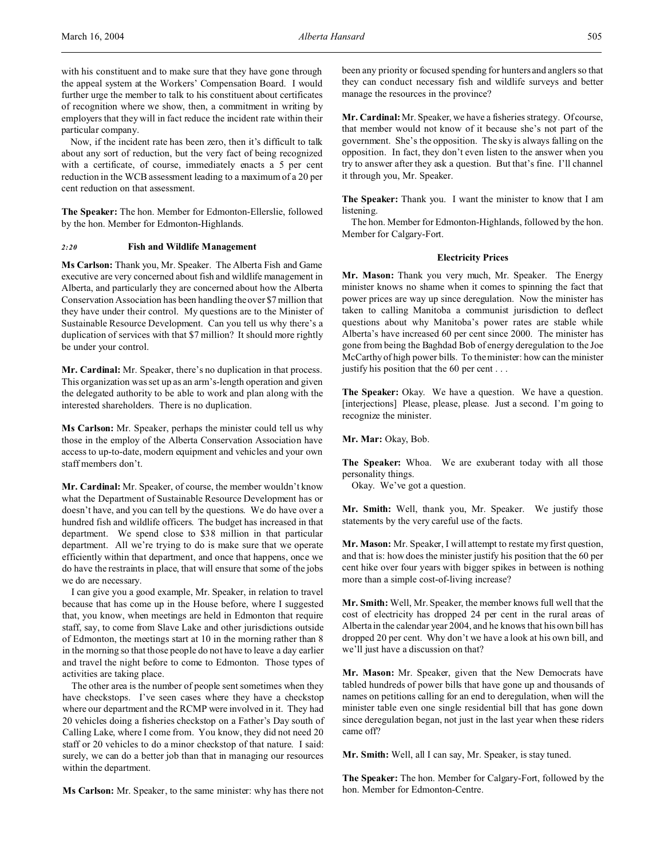with his constituent and to make sure that they have gone through the appeal system at the Workers' Compensation Board. I would further urge the member to talk to his constituent about certificates of recognition where we show, then, a commitment in writing by employers that they will in fact reduce the incident rate within their particular company.

Now, if the incident rate has been zero, then it's difficult to talk about any sort of reduction, but the very fact of being recognized with a certificate, of course, immediately enacts a 5 per cent reduction in the WCB assessment leading to a maximum of a 20 per cent reduction on that assessment.

**The Speaker:** The hon. Member for Edmonton-Ellerslie, followed by the hon. Member for Edmonton-Highlands.

## *2:20* **Fish and Wildlife Management**

**Ms Carlson:** Thank you, Mr. Speaker. The Alberta Fish and Game executive are very concerned about fish and wildlife management in Alberta, and particularly they are concerned about how the Alberta Conservation Association has been handling the over \$7 million that they have under their control. My questions are to the Minister of Sustainable Resource Development. Can you tell us why there's a duplication of services with that \$7 million? It should more rightly be under your control.

**Mr. Cardinal:** Mr. Speaker, there's no duplication in that process. This organization was set up as an arm's-length operation and given the delegated authority to be able to work and plan along with the interested shareholders. There is no duplication.

**Ms Carlson:** Mr. Speaker, perhaps the minister could tell us why those in the employ of the Alberta Conservation Association have access to up-to-date, modern equipment and vehicles and your own staff members don't.

**Mr. Cardinal:** Mr. Speaker, of course, the member wouldn't know what the Department of Sustainable Resource Development has or doesn't have, and you can tell by the questions. We do have over a hundred fish and wildlife officers. The budget has increased in that department. We spend close to \$38 million in that particular department. All we're trying to do is make sure that we operate efficiently within that department, and once that happens, once we do have the restraints in place, that will ensure that some of the jobs we do are necessary.

I can give you a good example, Mr. Speaker, in relation to travel because that has come up in the House before, where I suggested that, you know, when meetings are held in Edmonton that require staff, say, to come from Slave Lake and other jurisdictions outside of Edmonton, the meetings start at 10 in the morning rather than 8 in the morning so that those people do not have to leave a day earlier and travel the night before to come to Edmonton. Those types of activities are taking place.

The other area is the number of people sent sometimes when they have checkstops. I've seen cases where they have a checkstop where our department and the RCMP were involved in it. They had 20 vehicles doing a fisheries checkstop on a Father's Day south of Calling Lake, where I come from. You know, they did not need 20 staff or 20 vehicles to do a minor checkstop of that nature. I said: surely, we can do a better job than that in managing our resources within the department.

**Ms Carlson:** Mr. Speaker, to the same minister: why has there not

been any priority or focused spending for hunters and anglers so that they can conduct necessary fish and wildlife surveys and better manage the resources in the province?

**Mr. Cardinal:** Mr. Speaker, we have a fisheries strategy. Of course, that member would not know of it because she's not part of the government. She's the opposition. The sky is always falling on the opposition. In fact, they don't even listen to the answer when you try to answer after they ask a question. But that's fine. I'll channel it through you, Mr. Speaker.

**The Speaker:** Thank you. I want the minister to know that I am listening.

The hon. Member for Edmonton-Highlands, followed by the hon. Member for Calgary-Fort.

# **Electricity Prices**

**Mr. Mason:** Thank you very much, Mr. Speaker. The Energy minister knows no shame when it comes to spinning the fact that power prices are way up since deregulation. Now the minister has taken to calling Manitoba a communist jurisdiction to deflect questions about why Manitoba's power rates are stable while Alberta's have increased 60 per cent since 2000. The minister has gone from being the Baghdad Bob of energy deregulation to the Joe McCarthy of high power bills. To the minister: how can the minister justify his position that the 60 per cent . . .

The Speaker: Okay. We have a question. We have a question. [interjections] Please, please, please. Just a second. I'm going to recognize the minister.

**Mr. Mar:** Okay, Bob.

**The Speaker:** Whoa. We are exuberant today with all those personality things.

Okay. We've got a question.

**Mr. Smith:** Well, thank you, Mr. Speaker. We justify those statements by the very careful use of the facts.

**Mr. Mason:** Mr. Speaker, I will attempt to restate my first question, and that is: how does the minister justify his position that the 60 per cent hike over four years with bigger spikes in between is nothing more than a simple cost-of-living increase?

**Mr. Smith:** Well, Mr. Speaker, the member knows full well that the cost of electricity has dropped 24 per cent in the rural areas of Alberta in the calendar year 2004, and he knows that his own bill has dropped 20 per cent. Why don't we have a look at his own bill, and we'll just have a discussion on that?

**Mr. Mason:** Mr. Speaker, given that the New Democrats have tabled hundreds of power bills that have gone up and thousands of names on petitions calling for an end to deregulation, when will the minister table even one single residential bill that has gone down since deregulation began, not just in the last year when these riders came off?

**Mr. Smith:** Well, all I can say, Mr. Speaker, is stay tuned.

**The Speaker:** The hon. Member for Calgary-Fort, followed by the hon. Member for Edmonton-Centre.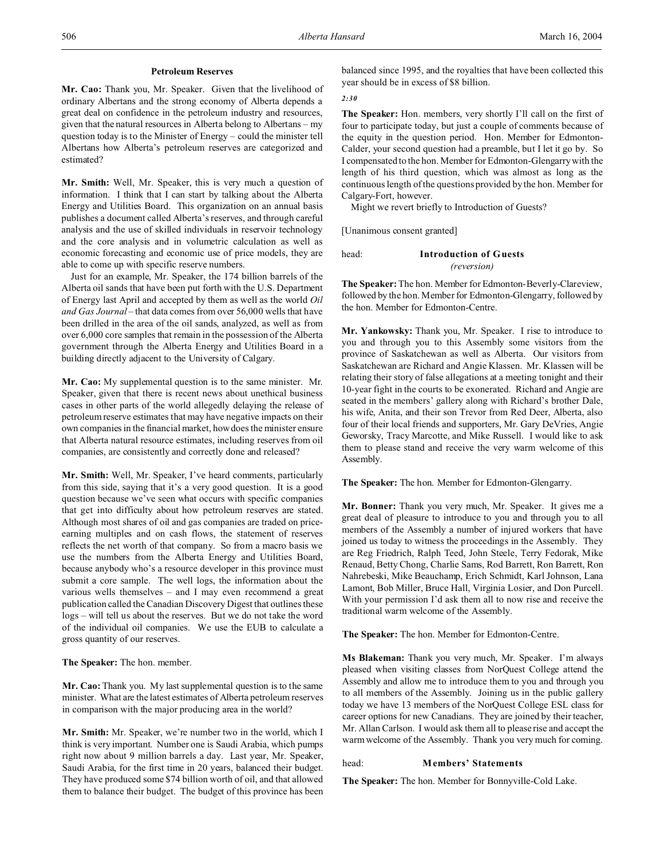# **Petroleum Reserves**

**Mr. Cao:** Thank you, Mr. Speaker. Given that the livelihood of ordinary Albertans and the strong economy of Alberta depends a great deal on confidence in the petroleum industry and resources, given that the natural resources in Alberta belong to Albertans – my question today is to the Minister of Energy – could the minister tell Albertans how Alberta's petroleum reserves are categorized and estimated?

**Mr. Smith:** Well, Mr. Speaker, this is very much a question of information. I think that I can start by talking about the Alberta Energy and Utilities Board. This organization on an annual basis publishes a document called Alberta's reserves, and through careful analysis and the use of skilled individuals in reservoir technology and the core analysis and in volumetric calculation as well as economic forecasting and economic use of price models, they are able to come up with specific reserve numbers.

Just for an example, Mr. Speaker, the 174 billion barrels of the Alberta oil sands that have been put forth with the U.S. Department of Energy last April and accepted by them as well as the world *Oil and Gas Journal* – that data comes from over 56,000 wells that have been drilled in the area of the oil sands, analyzed, as well as from over 6,000 core samples that remain in the possession of the Alberta government through the Alberta Energy and Utilities Board in a building directly adjacent to the University of Calgary.

**Mr. Cao:** My supplemental question is to the same minister. Mr. Speaker, given that there is recent news about unethical business cases in other parts of the world allegedly delaying the release of petroleum reserve estimates that may have negative impacts on their own companies in the financial market, how does the minister ensure that Alberta natural resource estimates, including reserves from oil companies, are consistently and correctly done and released?

**Mr. Smith:** Well, Mr. Speaker, I've heard comments, particularly from this side, saying that it's a very good question. It is a good question because we've seen what occurs with specific companies that get into difficulty about how petroleum reserves are stated. Although most shares of oil and gas companies are traded on priceearning multiples and on cash flows, the statement of reserves reflects the net worth of that company. So from a macro basis we use the numbers from the Alberta Energy and Utilities Board, because anybody who's a resource developer in this province must submit a core sample. The well logs, the information about the various wells themselves – and I may even recommend a great publication called the Canadian Discovery Digest that outlines these logs – will tell us about the reserves. But we do not take the word of the individual oil companies. We use the EUB to calculate a gross quantity of our reserves.

**The Speaker:** The hon. member.

**Mr. Cao:** Thank you. My last supplemental question is to the same minister. What are the latest estimates of Alberta petroleum reserves in comparison with the major producing area in the world?

**Mr. Smith:** Mr. Speaker, we're number two in the world, which I think is very important. Number one is Saudi Arabia, which pumps right now about 9 million barrels a day. Last year, Mr. Speaker, Saudi Arabia, for the first time in 20 years, balanced their budget. They have produced some \$74 billion worth of oil, and that allowed them to balance their budget. The budget of this province has been

balanced since 1995, and the royalties that have been collected this year should be in excess of \$8 billion.

*2:30*

**The Speaker:** Hon. members, very shortly I'll call on the first of four to participate today, but just a couple of comments because of the equity in the question period. Hon. Member for Edmonton-Calder, your second question had a preamble, but I let it go by. So I compensated to the hon. Member for Edmonton-Glengarry with the length of his third question, which was almost as long as the continuous length of the questions provided by the hon. Member for Calgary-Fort, however.

Might we revert briefly to Introduction of Guests?

[Unanimous consent granted]

head: **Introduction of Guests** *(reversion)*

**The Speaker:**The hon. Member for Edmonton-Beverly-Clareview, followed by the hon. Member for Edmonton-Glengarry, followed by the hon. Member for Edmonton-Centre.

**Mr. Yankowsky:** Thank you, Mr. Speaker. I rise to introduce to you and through you to this Assembly some visitors from the province of Saskatchewan as well as Alberta. Our visitors from Saskatchewan are Richard and Angie Klassen. Mr. Klassen will be relating their story of false allegations at a meeting tonight and their 10-year fight in the courts to be exonerated. Richard and Angie are seated in the members' gallery along with Richard's brother Dale, his wife, Anita, and their son Trevor from Red Deer, Alberta, also four of their local friends and supporters, Mr. Gary DeVries, Angie Geworsky, Tracy Marcotte, and Mike Russell. I would like to ask them to please stand and receive the very warm welcome of this Assembly.

**The Speaker:** The hon. Member for Edmonton-Glengarry.

**Mr. Bonner:** Thank you very much, Mr. Speaker. It gives me a great deal of pleasure to introduce to you and through you to all members of the Assembly a number of injured workers that have joined us today to witness the proceedings in the Assembly. They are Reg Friedrich, Ralph Teed, John Steele, Terry Fedorak, Mike Renaud, Betty Chong, Charlie Sams, Rod Barrett, Ron Barrett, Ron Nahrebeski, Mike Beauchamp, Erich Schmidt, Karl Johnson, Lana Lamont, Bob Miller, Bruce Hall, Virginia Losier, and Don Purcell. With your permission I'd ask them all to now rise and receive the traditional warm welcome of the Assembly.

**The Speaker:** The hon. Member for Edmonton-Centre.

**Ms Blakeman:** Thank you very much, Mr. Speaker. I'm always pleased when visiting classes from NorQuest College attend the Assembly and allow me to introduce them to you and through you to all members of the Assembly. Joining us in the public gallery today we have 13 members of the NorQuest College ESL class for career options for new Canadians. They are joined by their teacher, Mr. Allan Carlson. I would ask them all to please rise and accept the warm welcome of the Assembly. Thank you very much for coming.

# head: **Members' Statements**

**The Speaker:** The hon. Member for Bonnyville-Cold Lake.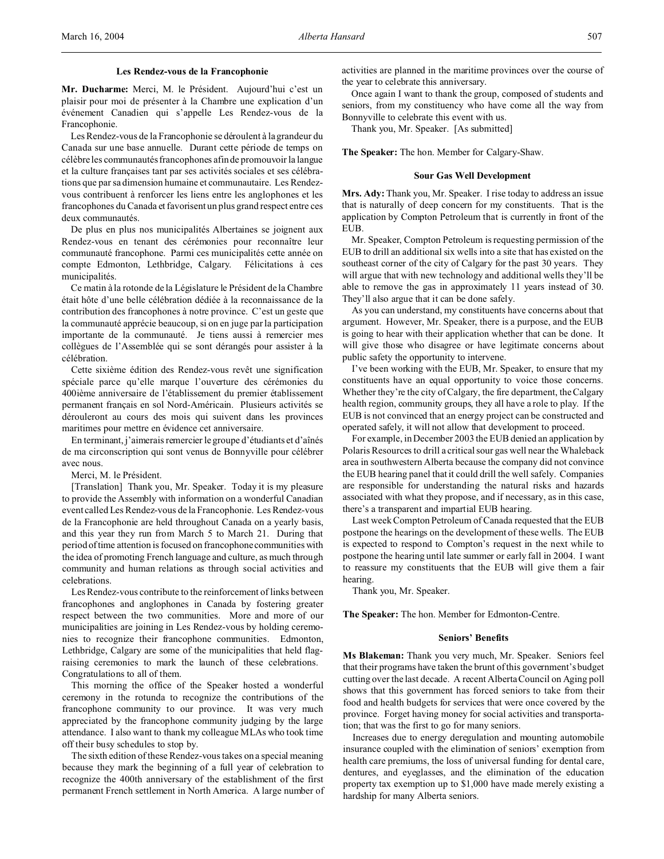**Mr. Ducharme:** Merci, M. le Président. Aujourd'hui c'est un plaisir pour moi de présenter à la Chambre une explication d'un événement Canadien qui s'appelle Les Rendez-vous de la Francophonie.

Les Rendez-vous de la Francophonie se déroulent à la grandeur du Canada sur une base annuelle. Durant cette période de temps on célèbre les communautés francophones afin de promouvoir la langue et la culture françaises tant par ses activités sociales et ses célébrations que par sa dimension humaine et communautaire. Les Rendezvous contribuent à renforcer les liens entre les anglophones et les francophones du Canada et favorisent un plus grand respect entre ces deux communautés.

De plus en plus nos municipalités Albertaines se joignent aux Rendez-vous en tenant des cérémonies pour reconnaître leur communauté francophone. Parmi ces municipalités cette année on compte Edmonton, Lethbridge, Calgary. Félicitations à ces municipalités.

Ce matin à la rotonde de la Législature le Président de la Chambre était hôte d'une belle célébration dédiée à la reconnaissance de la contribution des francophones à notre province. C'est un geste que la communauté apprécie beaucoup, si on en juge par la participation importante de la communauté. Je tiens aussi à remercier mes collègues de l'Assemblée qui se sont dérangés pour assister à la célébration.

Cette sixième édition des Rendez-vous revêt une signification spéciale parce qu'elle marque l'ouverture des cérémonies du 400ième anniversaire de l'établissement du premier établissement permanent français en sol Nord-Américain. Plusieurs activités se dérouleront au cours des mois qui suivent dans les provinces maritimes pour mettre en évidence cet anniversaire.

En terminant, j'aimerais remercier le groupe d'étudiants et d'aînés de ma circonscription qui sont venus de Bonnyville pour célébrer avec nous.

Merci, M. le Président.

[Translation] Thank you, Mr. Speaker. Today it is my pleasure to provide the Assembly with information on a wonderful Canadian event called Les Rendez-vous de la Francophonie. Les Rendez-vous de la Francophonie are held throughout Canada on a yearly basis, and this year they run from March 5 to March 21. During that period of time attention is focused on francophone communities with the idea of promoting French language and culture, as much through community and human relations as through social activities and celebrations.

Les Rendez-vous contribute to the reinforcement of links between francophones and anglophones in Canada by fostering greater respect between the two communities. More and more of our municipalities are joining in Les Rendez-vous by holding ceremonies to recognize their francophone communities. Edmonton, Lethbridge, Calgary are some of the municipalities that held flagraising ceremonies to mark the launch of these celebrations. Congratulations to all of them.

This morning the office of the Speaker hosted a wonderful ceremony in the rotunda to recognize the contributions of the francophone community to our province. It was very much appreciated by the francophone community judging by the large attendance. I also want to thank my colleague MLAs who took time off their busy schedules to stop by.

The sixth edition of these Rendez-vous takes on a special meaning because they mark the beginning of a full year of celebration to recognize the 400th anniversary of the establishment of the first permanent French settlement in North America. A large number of activities are planned in the maritime provinces over the course of the year to celebrate this anniversary.

Once again I want to thank the group, composed of students and seniors, from my constituency who have come all the way from Bonnyville to celebrate this event with us.

Thank you, Mr. Speaker. [As submitted]

**The Speaker:** The hon. Member for Calgary-Shaw.

### **Sour Gas Well Development**

**Mrs. Ady:** Thank you, Mr. Speaker. I rise today to address an issue that is naturally of deep concern for my constituents. That is the application by Compton Petroleum that is currently in front of the EUB.

Mr. Speaker, Compton Petroleum is requesting permission of the EUB to drill an additional six wells into a site that has existed on the southeast corner of the city of Calgary for the past 30 years. They will argue that with new technology and additional wells they'll be able to remove the gas in approximately 11 years instead of 30. They'll also argue that it can be done safely.

As you can understand, my constituents have concerns about that argument. However, Mr. Speaker, there is a purpose, and the EUB is going to hear with their application whether that can be done. It will give those who disagree or have legitimate concerns about public safety the opportunity to intervene.

I've been working with the EUB, Mr. Speaker, to ensure that my constituents have an equal opportunity to voice those concerns. Whether they're the city of Calgary, the fire department, the Calgary health region, community groups, they all have a role to play. If the EUB is not convinced that an energy project can be constructed and operated safely, it will not allow that development to proceed.

For example, in December 2003 the EUB denied an application by Polaris Resources to drill a critical sour gas well near the Whaleback area in southwestern Alberta because the company did not convince the EUB hearing panel that it could drill the well safely. Companies are responsible for understanding the natural risks and hazards associated with what they propose, and if necessary, as in this case, there's a transparent and impartial EUB hearing.

Last week Compton Petroleum of Canada requested that the EUB postpone the hearings on the development of these wells. The EUB is expected to respond to Compton's request in the next while to postpone the hearing until late summer or early fall in 2004. I want to reassure my constituents that the EUB will give them a fair hearing.

Thank you, Mr. Speaker.

**The Speaker:** The hon. Member for Edmonton-Centre.

### **Seniors' Benefits**

**Ms Blakeman:** Thank you very much, Mr. Speaker. Seniors feel that their programs have taken the brunt of this government's budget cutting over the last decade. A recent Alberta Council on Aging poll shows that this government has forced seniors to take from their food and health budgets for services that were once covered by the province. Forget having money for social activities and transportation; that was the first to go for many seniors.

Increases due to energy deregulation and mounting automobile insurance coupled with the elimination of seniors' exemption from health care premiums, the loss of universal funding for dental care, dentures, and eyeglasses, and the elimination of the education property tax exemption up to \$1,000 have made merely existing a hardship for many Alberta seniors.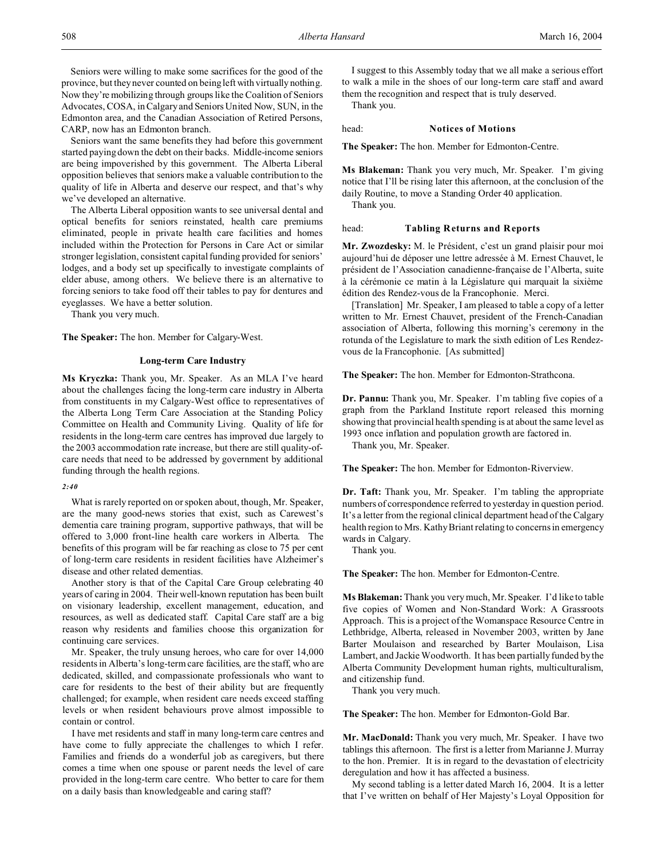Seniors were willing to make some sacrifices for the good of the province, but they never counted on being left with virtually nothing. Now they're mobilizing through groups like the Coalition of Seniors Advocates, COSA, in Calgary and Seniors United Now, SUN, in the Edmonton area, and the Canadian Association of Retired Persons, CARP, now has an Edmonton branch.

Seniors want the same benefits they had before this government started paying down the debt on their backs. Middle-income seniors are being impoverished by this government. The Alberta Liberal opposition believes that seniors make a valuable contribution to the quality of life in Alberta and deserve our respect, and that's why we've developed an alternative.

The Alberta Liberal opposition wants to see universal dental and optical benefits for seniors reinstated, health care premiums eliminated, people in private health care facilities and homes included within the Protection for Persons in Care Act or similar stronger legislation, consistent capital funding provided for seniors' lodges, and a body set up specifically to investigate complaints of elder abuse, among others. We believe there is an alternative to forcing seniors to take food off their tables to pay for dentures and eyeglasses. We have a better solution.

Thank you very much.

**The Speaker:** The hon. Member for Calgary-West.

# **Long-term Care Industry**

**Ms Kryczka:** Thank you, Mr. Speaker. As an MLA I've heard about the challenges facing the long-term care industry in Alberta from constituents in my Calgary-West office to representatives of the Alberta Long Term Care Association at the Standing Policy Committee on Health and Community Living. Quality of life for residents in the long-term care centres has improved due largely to the 2003 accommodation rate increase, but there are still quality-ofcare needs that need to be addressed by government by additional funding through the health regions.

*2:40*

What is rarely reported on or spoken about, though, Mr. Speaker, are the many good-news stories that exist, such as Carewest's dementia care training program, supportive pathways, that will be offered to 3,000 front-line health care workers in Alberta. The benefits of this program will be far reaching as close to 75 per cent of long-term care residents in resident facilities have Alzheimer's disease and other related dementias.

Another story is that of the Capital Care Group celebrating 40 years of caring in 2004. Their well-known reputation has been built on visionary leadership, excellent management, education, and resources, as well as dedicated staff. Capital Care staff are a big reason why residents and families choose this organization for continuing care services.

Mr. Speaker, the truly unsung heroes, who care for over 14,000 residents in Alberta's long-term care facilities, are the staff, who are dedicated, skilled, and compassionate professionals who want to care for residents to the best of their ability but are frequently challenged; for example, when resident care needs exceed staffing levels or when resident behaviours prove almost impossible to contain or control.

I have met residents and staff in many long-term care centres and have come to fully appreciate the challenges to which I refer. Families and friends do a wonderful job as caregivers, but there comes a time when one spouse or parent needs the level of care provided in the long-term care centre. Who better to care for them on a daily basis than knowledgeable and caring staff?

I suggest to this Assembly today that we all make a serious effort to walk a mile in the shoes of our long-term care staff and award them the recognition and respect that is truly deserved.

Thank you.

#### head: **Notices of Motions**

**The Speaker:** The hon. Member for Edmonton-Centre.

**Ms Blakeman:** Thank you very much, Mr. Speaker. I'm giving notice that I'll be rising later this afternoon, at the conclusion of the daily Routine, to move a Standing Order 40 application.

Thank you.

## head: **Tabling Returns and Reports**

**Mr. Zwozdesky:** M. le Président, c'est un grand plaisir pour moi aujourd'hui de déposer une lettre adressée à M. Ernest Chauvet, le président de l'Association canadienne-française de l'Alberta, suite à la cérémonie ce matin à la Législature qui marquait la sixième édition des Rendez-vous de la Francophonie. Merci.

[Translation] Mr. Speaker, I am pleased to table a copy of a letter written to Mr. Ernest Chauvet, president of the French-Canadian association of Alberta, following this morning's ceremony in the rotunda of the Legislature to mark the sixth edition of Les Rendezvous de la Francophonie. [As submitted]

### **The Speaker:** The hon. Member for Edmonton-Strathcona.

**Dr. Pannu:** Thank you, Mr. Speaker. I'm tabling five copies of a graph from the Parkland Institute report released this morning showing that provincial health spending is at about the same level as 1993 once inflation and population growth are factored in.

Thank you, Mr. Speaker.

**The Speaker:** The hon. Member for Edmonton-Riverview.

**Dr. Taft:** Thank you, Mr. Speaker. I'm tabling the appropriate numbers of correspondence referred to yesterday in question period. It's a letter from the regional clinical department head of the Calgary health region to Mrs. Kathy Briant relating to concerns in emergency wards in Calgary.

Thank you.

**The Speaker:** The hon. Member for Edmonton-Centre.

**Ms Blakeman:**Thank you very much, Mr. Speaker. I'd like to table five copies of Women and Non-Standard Work: A Grassroots Approach. This is a project of the Womanspace Resource Centre in Lethbridge, Alberta, released in November 2003, written by Jane Barter Moulaison and researched by Barter Moulaison, Lisa Lambert, and Jackie Woodworth. It has been partially funded by the Alberta Community Development human rights, multiculturalism, and citizenship fund.

Thank you very much.

**The Speaker:** The hon. Member for Edmonton-Gold Bar.

**Mr. MacDonald:** Thank you very much, Mr. Speaker. I have two tablings this afternoon. The first is a letter from Marianne J. Murray to the hon. Premier. It is in regard to the devastation of electricity deregulation and how it has affected a business.

My second tabling is a letter dated March 16, 2004. It is a letter that I've written on behalf of Her Majesty's Loyal Opposition for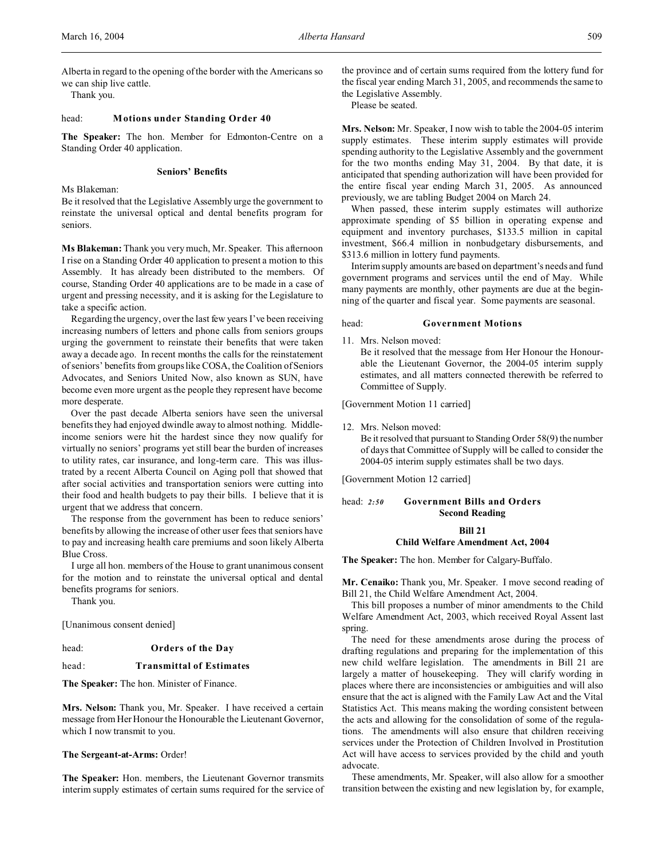Thank you.

## head: **Motions under Standing Order 40**

**The Speaker:** The hon. Member for Edmonton-Centre on a Standing Order 40 application.

# **Seniors' Benefits**

Ms Blakeman:

Be it resolved that the Legislative Assembly urge the government to reinstate the universal optical and dental benefits program for seniors.

**Ms Blakeman:** Thank you very much, Mr. Speaker. This afternoon I rise on a Standing Order 40 application to present a motion to this Assembly. It has already been distributed to the members. Of course, Standing Order 40 applications are to be made in a case of urgent and pressing necessity, and it is asking for the Legislature to take a specific action.

Regarding the urgency, over the last few years I've been receiving increasing numbers of letters and phone calls from seniors groups urging the government to reinstate their benefits that were taken away a decade ago. In recent months the calls for the reinstatement of seniors' benefits from groups like COSA, the Coalition of Seniors Advocates, and Seniors United Now, also known as SUN, have become even more urgent as the people they represent have become more desperate.

Over the past decade Alberta seniors have seen the universal benefits they had enjoyed dwindle away to almost nothing. Middleincome seniors were hit the hardest since they now qualify for virtually no seniors' programs yet still bear the burden of increases to utility rates, car insurance, and long-term care. This was illustrated by a recent Alberta Council on Aging poll that showed that after social activities and transportation seniors were cutting into their food and health budgets to pay their bills. I believe that it is urgent that we address that concern.

The response from the government has been to reduce seniors' benefits by allowing the increase of other user fees that seniors have to pay and increasing health care premiums and soon likely Alberta Blue Cross.

I urge all hon. members of the House to grant unanimous consent for the motion and to reinstate the universal optical and dental benefits programs for seniors.

Thank you.

[Unanimous consent denied]

# head: **Orders of the Day**

# head: **Transmittal of Estimates**

**The Speaker:** The hon. Minister of Finance.

**Mrs. Nelson:** Thank you, Mr. Speaker. I have received a certain message from Her Honour the Honourable the Lieutenant Governor, which I now transmit to you.

### **The Sergeant-at-Arms:** Order!

**The Speaker:** Hon. members, the Lieutenant Governor transmits interim supply estimates of certain sums required for the service of

the province and of certain sums required from the lottery fund for the fiscal year ending March 31, 2005, and recommends the same to the Legislative Assembly.

Please be seated.

**Mrs. Nelson:** Mr. Speaker, I now wish to table the 2004-05 interim supply estimates. These interim supply estimates will provide spending authority to the Legislative Assembly and the government for the two months ending May 31, 2004. By that date, it is anticipated that spending authorization will have been provided for the entire fiscal year ending March 31, 2005. As announced previously, we are tabling Budget 2004 on March 24.

When passed, these interim supply estimates will authorize approximate spending of \$5 billion in operating expense and equipment and inventory purchases, \$133.5 million in capital investment, \$66.4 million in nonbudgetary disbursements, and \$313.6 million in lottery fund payments.

Interim supply amounts are based on department's needs and fund government programs and services until the end of May. While many payments are monthly, other payments are due at the beginning of the quarter and fiscal year. Some payments are seasonal.

## head: **Government Motions**

11. Mrs. Nelson moved:

Be it resolved that the message from Her Honour the Honourable the Lieutenant Governor, the 2004-05 interim supply estimates, and all matters connected therewith be referred to Committee of Supply.

[Government Motion 11 carried]

12. Mrs. Nelson moved: Be it resolved that pursuant to Standing Order 58(9) the number of days that Committee of Supply will be called to consider the 2004-05 interim supply estimates shall be two days.

[Government Motion 12 carried]

# head: *2:50* **Government Bills and Orders Second Reading**

# **Bill 21**

# **Child Welfare Amendment Act, 2004**

**The Speaker:** The hon. Member for Calgary-Buffalo.

**Mr. Cenaiko:** Thank you, Mr. Speaker. I move second reading of Bill 21, the Child Welfare Amendment Act, 2004.

This bill proposes a number of minor amendments to the Child Welfare Amendment Act, 2003, which received Royal Assent last spring.

The need for these amendments arose during the process of drafting regulations and preparing for the implementation of this new child welfare legislation. The amendments in Bill 21 are largely a matter of housekeeping. They will clarify wording in places where there are inconsistencies or ambiguities and will also ensure that the act is aligned with the Family Law Act and the Vital Statistics Act. This means making the wording consistent between the acts and allowing for the consolidation of some of the regulations. The amendments will also ensure that children receiving services under the Protection of Children Involved in Prostitution Act will have access to services provided by the child and youth advocate.

These amendments, Mr. Speaker, will also allow for a smoother transition between the existing and new legislation by, for example,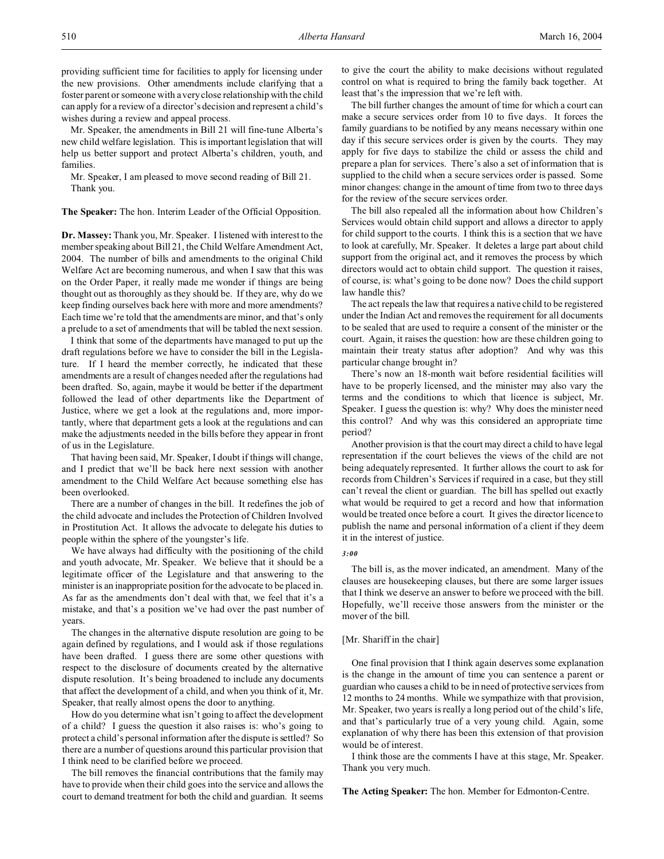providing sufficient time for facilities to apply for licensing under the new provisions. Other amendments include clarifying that a foster parent or someone with a very close relationship with the child can apply for a review of a director's decision and represent a child's wishes during a review and appeal process.

Mr. Speaker, the amendments in Bill 21 will fine-tune Alberta's new child welfare legislation. This is important legislation that will help us better support and protect Alberta's children, youth, and families.

Mr. Speaker, I am pleased to move second reading of Bill 21. Thank you.

**The Speaker:** The hon. Interim Leader of the Official Opposition.

**Dr. Massey:** Thank you, Mr. Speaker. I listened with interest to the member speaking about Bill 21, the Child Welfare Amendment Act, 2004. The number of bills and amendments to the original Child Welfare Act are becoming numerous, and when I saw that this was on the Order Paper, it really made me wonder if things are being thought out as thoroughly as they should be. If they are, why do we keep finding ourselves back here with more and more amendments? Each time we're told that the amendments are minor, and that's only a prelude to a set of amendments that will be tabled the next session.

I think that some of the departments have managed to put up the draft regulations before we have to consider the bill in the Legislature. If I heard the member correctly, he indicated that these amendments are a result of changes needed after the regulations had been drafted. So, again, maybe it would be better if the department followed the lead of other departments like the Department of Justice, where we get a look at the regulations and, more importantly, where that department gets a look at the regulations and can make the adjustments needed in the bills before they appear in front of us in the Legislature.

That having been said, Mr. Speaker, I doubt if things will change, and I predict that we'll be back here next session with another amendment to the Child Welfare Act because something else has been overlooked.

There are a number of changes in the bill. It redefines the job of the child advocate and includes the Protection of Children Involved in Prostitution Act. It allows the advocate to delegate his duties to people within the sphere of the youngster's life.

We have always had difficulty with the positioning of the child and youth advocate, Mr. Speaker. We believe that it should be a legitimate officer of the Legislature and that answering to the minister is an inappropriate position for the advocate to be placed in. As far as the amendments don't deal with that, we feel that it's a mistake, and that's a position we've had over the past number of years.

The changes in the alternative dispute resolution are going to be again defined by regulations, and I would ask if those regulations have been drafted. I guess there are some other questions with respect to the disclosure of documents created by the alternative dispute resolution. It's being broadened to include any documents that affect the development of a child, and when you think of it, Mr. Speaker, that really almost opens the door to anything.

How do you determine what isn't going to affect the development of a child? I guess the question it also raises is: who's going to protect a child's personal information after the dispute is settled? So there are a number of questions around this particular provision that I think need to be clarified before we proceed.

The bill removes the financial contributions that the family may have to provide when their child goes into the service and allows the court to demand treatment for both the child and guardian. It seems

to give the court the ability to make decisions without regulated control on what is required to bring the family back together. At least that's the impression that we're left with.

The bill further changes the amount of time for which a court can make a secure services order from 10 to five days. It forces the family guardians to be notified by any means necessary within one day if this secure services order is given by the courts. They may apply for five days to stabilize the child or assess the child and prepare a plan for services. There's also a set of information that is supplied to the child when a secure services order is passed. Some minor changes: change in the amount of time from two to three days for the review of the secure services order.

The bill also repealed all the information about how Children's Services would obtain child support and allows a director to apply for child support to the courts. I think this is a section that we have to look at carefully, Mr. Speaker. It deletes a large part about child support from the original act, and it removes the process by which directors would act to obtain child support. The question it raises, of course, is: what's going to be done now? Does the child support law handle this?

The act repeals the law that requires a native child to be registered under the Indian Act and removes the requirement for all documents to be sealed that are used to require a consent of the minister or the court. Again, it raises the question: how are these children going to maintain their treaty status after adoption? And why was this particular change brought in?

There's now an 18-month wait before residential facilities will have to be properly licensed, and the minister may also vary the terms and the conditions to which that licence is subject, Mr. Speaker. I guess the question is: why? Why does the minister need this control? And why was this considered an appropriate time period?

Another provision is that the court may direct a child to have legal representation if the court believes the views of the child are not being adequately represented. It further allows the court to ask for records from Children's Services if required in a case, but they still can't reveal the client or guardian. The bill has spelled out exactly what would be required to get a record and how that information would be treated once before a court. It gives the director licence to publish the name and personal information of a client if they deem it in the interest of justice.

## *3:00*

The bill is, as the mover indicated, an amendment. Many of the clauses are housekeeping clauses, but there are some larger issues that I think we deserve an answer to before we proceed with the bill. Hopefully, we'll receive those answers from the minister or the mover of the bill.

# [Mr. Shariff in the chair]

One final provision that I think again deserves some explanation is the change in the amount of time you can sentence a parent or guardian who causes a child to be in need of protective services from 12 months to 24 months. While we sympathize with that provision, Mr. Speaker, two years is really a long period out of the child's life, and that's particularly true of a very young child. Again, some explanation of why there has been this extension of that provision would be of interest.

I think those are the comments I have at this stage, Mr. Speaker. Thank you very much.

**The Acting Speaker:** The hon. Member for Edmonton-Centre.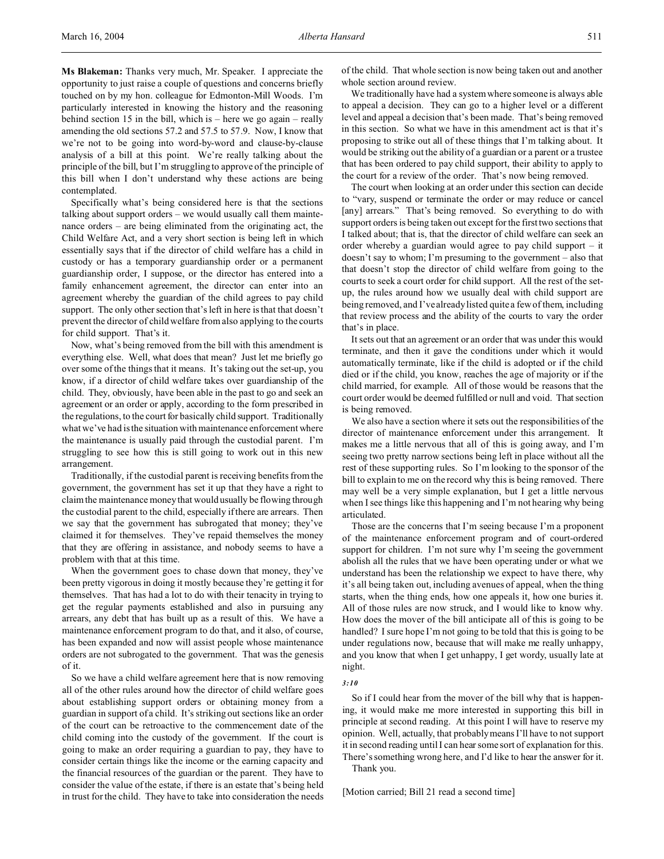**Ms Blakeman:** Thanks very much, Mr. Speaker. I appreciate the opportunity to just raise a couple of questions and concerns briefly touched on by my hon. colleague for Edmonton-Mill Woods. I'm particularly interested in knowing the history and the reasoning behind section 15 in the bill, which is – here we go again – really amending the old sections 57.2 and 57.5 to 57.9. Now, I know that we're not to be going into word-by-word and clause-by-clause analysis of a bill at this point. We're really talking about the principle of the bill, but I'm struggling to approve of the principle of this bill when I don't understand why these actions are being contemplated.

Specifically what's being considered here is that the sections talking about support orders – we would usually call them maintenance orders – are being eliminated from the originating act, the Child Welfare Act, and a very short section is being left in which essentially says that if the director of child welfare has a child in custody or has a temporary guardianship order or a permanent guardianship order, I suppose, or the director has entered into a family enhancement agreement, the director can enter into an agreement whereby the guardian of the child agrees to pay child support. The only other section that's left in here is that that doesn't prevent the director of child welfare from also applying to the courts for child support. That's it.

Now, what's being removed from the bill with this amendment is everything else. Well, what does that mean? Just let me briefly go over some of the things that it means. It's taking out the set-up, you know, if a director of child welfare takes over guardianship of the child. They, obviously, have been able in the past to go and seek an agreement or an order or apply, according to the form prescribed in the regulations, to the court for basically child support. Traditionally what we've had is the situation with maintenance enforcement where the maintenance is usually paid through the custodial parent. I'm struggling to see how this is still going to work out in this new arrangement.

Traditionally, if the custodial parent is receiving benefits from the government, the government has set it up that they have a right to claim the maintenance money that would usually be flowing through the custodial parent to the child, especially if there are arrears. Then we say that the government has subrogated that money; they've claimed it for themselves. They've repaid themselves the money that they are offering in assistance, and nobody seems to have a problem with that at this time.

When the government goes to chase down that money, they've been pretty vigorous in doing it mostly because they're getting it for themselves. That has had a lot to do with their tenacity in trying to get the regular payments established and also in pursuing any arrears, any debt that has built up as a result of this. We have a maintenance enforcement program to do that, and it also, of course, has been expanded and now will assist people whose maintenance orders are not subrogated to the government. That was the genesis of it.

So we have a child welfare agreement here that is now removing all of the other rules around how the director of child welfare goes about establishing support orders or obtaining money from a guardian in support of a child. It's striking out sections like an order of the court can be retroactive to the commencement date of the child coming into the custody of the government. If the court is going to make an order requiring a guardian to pay, they have to consider certain things like the income or the earning capacity and the financial resources of the guardian or the parent. They have to consider the value of the estate, if there is an estate that's being held in trust for the child. They have to take into consideration the needs

of the child. That whole section is now being taken out and another whole section around review.

We traditionally have had a system where someone is always able to appeal a decision. They can go to a higher level or a different level and appeal a decision that's been made. That's being removed in this section. So what we have in this amendment act is that it's proposing to strike out all of these things that I'm talking about. It would be striking out the ability of a guardian or a parent or a trustee that has been ordered to pay child support, their ability to apply to the court for a review of the order. That's now being removed.

The court when looking at an order under this section can decide to "vary, suspend or terminate the order or may reduce or cancel [any] arrears." That's being removed. So everything to do with support orders is being taken out except for the first two sections that I talked about; that is, that the director of child welfare can seek an order whereby a guardian would agree to pay child support – it doesn't say to whom; I'm presuming to the government – also that that doesn't stop the director of child welfare from going to the courts to seek a court order for child support. All the rest of the setup, the rules around how we usually deal with child support are being removed, and I've already listed quite a few of them, including that review process and the ability of the courts to vary the order that's in place.

It sets out that an agreement or an order that was under this would terminate, and then it gave the conditions under which it would automatically terminate, like if the child is adopted or if the child died or if the child, you know, reaches the age of majority or if the child married, for example. All of those would be reasons that the court order would be deemed fulfilled or null and void. That section is being removed.

We also have a section where it sets out the responsibilities of the director of maintenance enforcement under this arrangement. It makes me a little nervous that all of this is going away, and I'm seeing two pretty narrow sections being left in place without all the rest of these supporting rules. So I'm looking to the sponsor of the bill to explain to me on the record why this is being removed. There may well be a very simple explanation, but I get a little nervous when I see things like this happening and I'm not hearing why being articulated.

Those are the concerns that I'm seeing because I'm a proponent of the maintenance enforcement program and of court-ordered support for children. I'm not sure why I'm seeing the government abolish all the rules that we have been operating under or what we understand has been the relationship we expect to have there, why it's all being taken out, including avenues of appeal, when the thing starts, when the thing ends, how one appeals it, how one buries it. All of those rules are now struck, and I would like to know why. How does the mover of the bill anticipate all of this is going to be handled? I sure hope I'm not going to be told that this is going to be under regulations now, because that will make me really unhappy, and you know that when I get unhappy, I get wordy, usually late at night.

#### *3:10*

So if I could hear from the mover of the bill why that is happening, it would make me more interested in supporting this bill in principle at second reading. At this point I will have to reserve my opinion. Well, actually, that probably means I'll have to not support it in second reading until I can hear some sort of explanation for this. There's something wrong here, and I'd like to hear the answer for it.

Thank you.

[Motion carried; Bill 21 read a second time]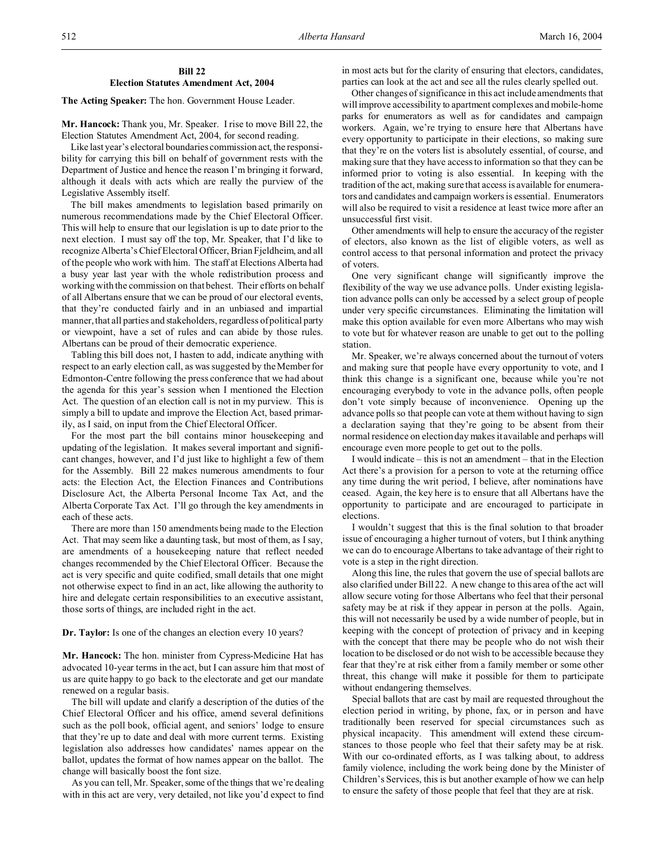**The Acting Speaker:** The hon. Government House Leader.

**Mr. Hancock:** Thank you, Mr. Speaker. I rise to move Bill 22, the Election Statutes Amendment Act, 2004, for second reading.

Like last year's electoral boundaries commission act, the responsibility for carrying this bill on behalf of government rests with the Department of Justice and hence the reason I'm bringing it forward, although it deals with acts which are really the purview of the Legislative Assembly itself.

The bill makes amendments to legislation based primarily on numerous recommendations made by the Chief Electoral Officer. This will help to ensure that our legislation is up to date prior to the next election. I must say off the top, Mr. Speaker, that I'd like to recognize Alberta's Chief Electoral Officer, Brian Fjeldheim, and all of the people who work with him. The staff at Elections Alberta had a busy year last year with the whole redistribution process and working with the commission on that behest. Their efforts on behalf of all Albertans ensure that we can be proud of our electoral events, that they're conducted fairly and in an unbiased and impartial manner, that all parties and stakeholders, regardless of political party or viewpoint, have a set of rules and can abide by those rules. Albertans can be proud of their democratic experience.

Tabling this bill does not, I hasten to add, indicate anything with respect to an early election call, as was suggested by the Member for Edmonton-Centre following the press conference that we had about the agenda for this year's session when I mentioned the Election Act. The question of an election call is not in my purview. This is simply a bill to update and improve the Election Act, based primarily, as I said, on input from the Chief Electoral Officer.

For the most part the bill contains minor housekeeping and updating of the legislation. It makes several important and significant changes, however, and I'd just like to highlight a few of them for the Assembly. Bill 22 makes numerous amendments to four acts: the Election Act, the Election Finances and Contributions Disclosure Act, the Alberta Personal Income Tax Act, and the Alberta Corporate Tax Act. I'll go through the key amendments in each of these acts.

There are more than 150 amendments being made to the Election Act. That may seem like a daunting task, but most of them, as I say, are amendments of a housekeeping nature that reflect needed changes recommended by the Chief Electoral Officer. Because the act is very specific and quite codified, small details that one might not otherwise expect to find in an act, like allowing the authority to hire and delegate certain responsibilities to an executive assistant, those sorts of things, are included right in the act.

## **Dr. Taylor:** Is one of the changes an election every 10 years?

**Mr. Hancock:** The hon. minister from Cypress-Medicine Hat has advocated 10-year terms in the act, but I can assure him that most of us are quite happy to go back to the electorate and get our mandate renewed on a regular basis.

The bill will update and clarify a description of the duties of the Chief Electoral Officer and his office, amend several definitions such as the poll book, official agent, and seniors' lodge to ensure that they're up to date and deal with more current terms. Existing legislation also addresses how candidates' names appear on the ballot, updates the format of how names appear on the ballot. The change will basically boost the font size.

As you can tell, Mr. Speaker, some of the things that we're dealing with in this act are very, very detailed, not like you'd expect to find

in most acts but for the clarity of ensuring that electors, candidates, parties can look at the act and see all the rules clearly spelled out.

Other changes of significance in this act include amendments that will improve accessibility to apartment complexes and mobile-home parks for enumerators as well as for candidates and campaign workers. Again, we're trying to ensure here that Albertans have every opportunity to participate in their elections, so making sure that they're on the voters list is absolutely essential, of course, and making sure that they have access to information so that they can be informed prior to voting is also essential. In keeping with the tradition of the act, making sure that access is available for enumerators and candidates and campaign workers is essential. Enumerators will also be required to visit a residence at least twice more after an unsuccessful first visit.

Other amendments will help to ensure the accuracy of the register of electors, also known as the list of eligible voters, as well as control access to that personal information and protect the privacy of voters.

One very significant change will significantly improve the flexibility of the way we use advance polls. Under existing legislation advance polls can only be accessed by a select group of people under very specific circumstances. Eliminating the limitation will make this option available for even more Albertans who may wish to vote but for whatever reason are unable to get out to the polling station.

Mr. Speaker, we're always concerned about the turnout of voters and making sure that people have every opportunity to vote, and I think this change is a significant one, because while you're not encouraging everybody to vote in the advance polls, often people don't vote simply because of inconvenience. Opening up the advance polls so that people can vote at them without having to sign a declaration saying that they're going to be absent from their normal residence on election day makes it available and perhaps will encourage even more people to get out to the polls.

I would indicate – this is not an amendment – that in the Election Act there's a provision for a person to vote at the returning office any time during the writ period, I believe, after nominations have ceased. Again, the key here is to ensure that all Albertans have the opportunity to participate and are encouraged to participate in elections.

I wouldn't suggest that this is the final solution to that broader issue of encouraging a higher turnout of voters, but I think anything we can do to encourage Albertans to take advantage of their right to vote is a step in the right direction.

Along this line, the rules that govern the use of special ballots are also clarified under Bill 22. A new change to this area of the act will allow secure voting for those Albertans who feel that their personal safety may be at risk if they appear in person at the polls. Again, this will not necessarily be used by a wide number of people, but in keeping with the concept of protection of privacy and in keeping with the concept that there may be people who do not wish their location to be disclosed or do not wish to be accessible because they fear that they're at risk either from a family member or some other threat, this change will make it possible for them to participate without endangering themselves.

Special ballots that are cast by mail are requested throughout the election period in writing, by phone, fax, or in person and have traditionally been reserved for special circumstances such as physical incapacity. This amendment will extend these circumstances to those people who feel that their safety may be at risk. With our co-ordinated efforts, as I was talking about, to address family violence, including the work being done by the Minister of Children's Services, this is but another example of how we can help to ensure the safety of those people that feel that they are at risk.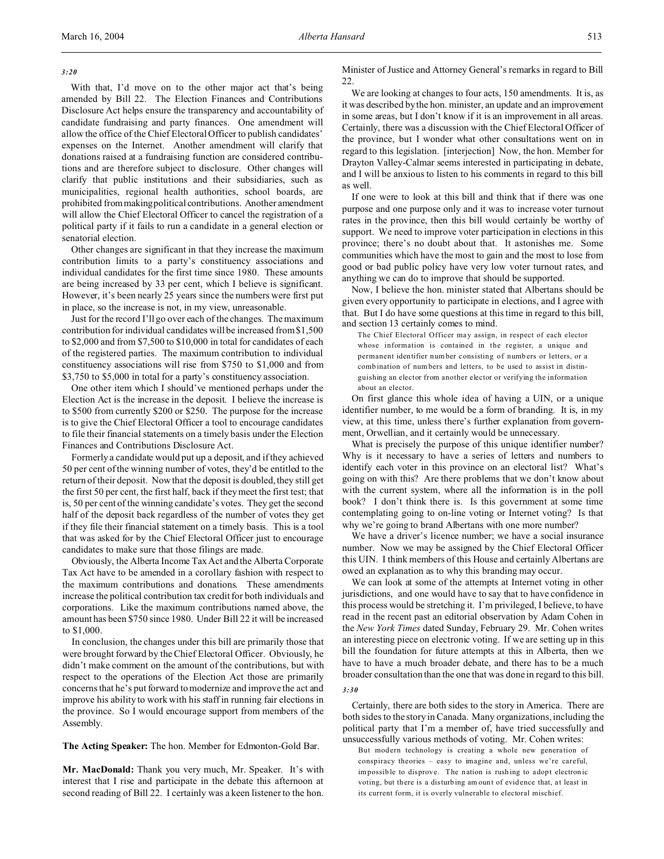### *3:20*

With that, I'd move on to the other major act that's being amended by Bill 22. The Election Finances and Contributions Disclosure Act helps ensure the transparency and accountability of candidate fundraising and party finances. One amendment will allow the office of the Chief Electoral Officer to publish candidates' expenses on the Internet. Another amendment will clarify that donations raised at a fundraising function are considered contributions and are therefore subject to disclosure. Other changes will clarify that public institutions and their subsidiaries, such as municipalities, regional health authorities, school boards, are prohibited frommaking political contributions. Another amendment will allow the Chief Electoral Officer to cancel the registration of a political party if it fails to run a candidate in a general election or senatorial election.

Other changes are significant in that they increase the maximum contribution limits to a party's constituency associations and individual candidates for the first time since 1980. These amounts are being increased by 33 per cent, which I believe is significant. However, it's been nearly 25 years since the numbers were first put in place, so the increase is not, in my view, unreasonable.

Just for the record I'll go over each of the changes. The maximum contribution for individual candidates will be increased from \$1,500 to \$2,000 and from \$7,500 to \$10,000 in total for candidates of each of the registered parties. The maximum contribution to individual constituency associations will rise from \$750 to \$1,000 and from \$3,750 to \$5,000 in total for a party's constituency association.

One other item which I should've mentioned perhaps under the Election Act is the increase in the deposit. I believe the increase is to \$500 from currently \$200 or \$250. The purpose for the increase is to give the Chief Electoral Officer a tool to encourage candidates to file their financial statements on a timely basis under the Election Finances and Contributions Disclosure Act.

Formerly a candidate would put up a deposit, and if they achieved 50 per cent of the winning number of votes, they'd be entitled to the return of their deposit. Now that the deposit is doubled, they still get the first 50 per cent, the first half, back if they meet the first test; that is, 50 per cent of the winning candidate's votes. They get the second half of the deposit back regardless of the number of votes they get if they file their financial statement on a timely basis. This is a tool that was asked for by the Chief Electoral Officer just to encourage candidates to make sure that those filings are made.

Obviously, the Alberta Income Tax Act and the Alberta Corporate Tax Act have to be amended in a corollary fashion with respect to the maximum contributions and donations. These amendments increase the political contribution tax credit for both individuals and corporations. Like the maximum contributions named above, the amount has been \$750 since 1980. Under Bill 22 it will be increased to \$1,000.

In conclusion, the changes under this bill are primarily those that were brought forward by the Chief Electoral Officer. Obviously, he didn't make comment on the amount of the contributions, but with respect to the operations of the Election Act those are primarily concerns that he's put forward to modernize and improve the act and improve his ability to work with his staff in running fair elections in the province. So I would encourage support from members of the Assembly.

**The Acting Speaker:** The hon. Member for Edmonton-Gold Bar.

**Mr. MacDonald:** Thank you very much, Mr. Speaker. It's with interest that I rise and participate in the debate this afternoon at second reading of Bill 22. I certainly was a keen listener to the hon. Minister of Justice and Attorney General's remarks in regard to Bill 22.

We are looking at changes to four acts, 150 amendments. It is, as it was described by the hon. minister, an update and an improvement in some areas, but I don't know if it is an improvement in all areas. Certainly, there was a discussion with the Chief Electoral Officer of the province, but I wonder what other consultations went on in regard to this legislation. [interjection] Now, the hon. Member for Drayton Valley-Calmar seems interested in participating in debate, and I will be anxious to listen to his comments in regard to this bill as well.

If one were to look at this bill and think that if there was one purpose and one purpose only and it was to increase voter turnout rates in the province, then this bill would certainly be worthy of support. We need to improve voter participation in elections in this province; there's no doubt about that. It astonishes me. Some communities which have the most to gain and the most to lose from good or bad public policy have very low voter turnout rates, and anything we can do to improve that should be supported.

Now, I believe the hon. minister stated that Albertans should be given every opportunity to participate in elections, and I agree with that. But I do have some questions at this time in regard to this bill, and section 13 certainly comes to mind.

The Chief Electoral Officer may assign, in respect of each elector whose information is contained in the register, a unique and permanent identifier number consisting of numbers or letters, or a comb ination of numbers and letters, to be used to assist in distinguishing an elector from another elector or verifying the information about an elector.

On first glance this whole idea of having a UIN, or a unique identifier number, to me would be a form of branding. It is, in my view, at this time, unless there's further explanation from government, Orwellian, and it certainly would be unnecessary.

What is precisely the purpose of this unique identifier number? Why is it necessary to have a series of letters and numbers to identify each voter in this province on an electoral list? What's going on with this? Are there problems that we don't know about with the current system, where all the information is in the poll book? I don't think there is. Is this government at some time contemplating going to on-line voting or Internet voting? Is that why we're going to brand Albertans with one more number?

We have a driver's licence number; we have a social insurance number. Now we may be assigned by the Chief Electoral Officer this UIN. I think members of this House and certainly Albertans are owed an explanation as to why this branding may occur.

We can look at some of the attempts at Internet voting in other jurisdictions, and one would have to say that to have confidence in this process would be stretching it. I'm privileged, I believe, to have read in the recent past an editorial observation by Adam Cohen in the *New York Times* dated Sunday, February 29. Mr. Cohen writes an interesting piece on electronic voting. If we are setting up in this bill the foundation for future attempts at this in Alberta, then we have to have a much broader debate, and there has to be a much broader consultation than the one that was done in regard to this bill.

## *3:30*

Certainly, there are both sides to the story in America. There are both sides to the story in Canada. Many organizations, including the political party that I'm a member of, have tried successfully and unsuccessfully various methods of voting. Mr. Cohen writes:

But modern technology is creating a whole new generation of conspiracy theories – easy to imagine and, unless we're careful, impossib le to disprove. The nation is rush ing to adopt electron ic voting, but there is a disturbing am ount of evidence that, at least in its current form, it is overly vulnerable to electoral mischief.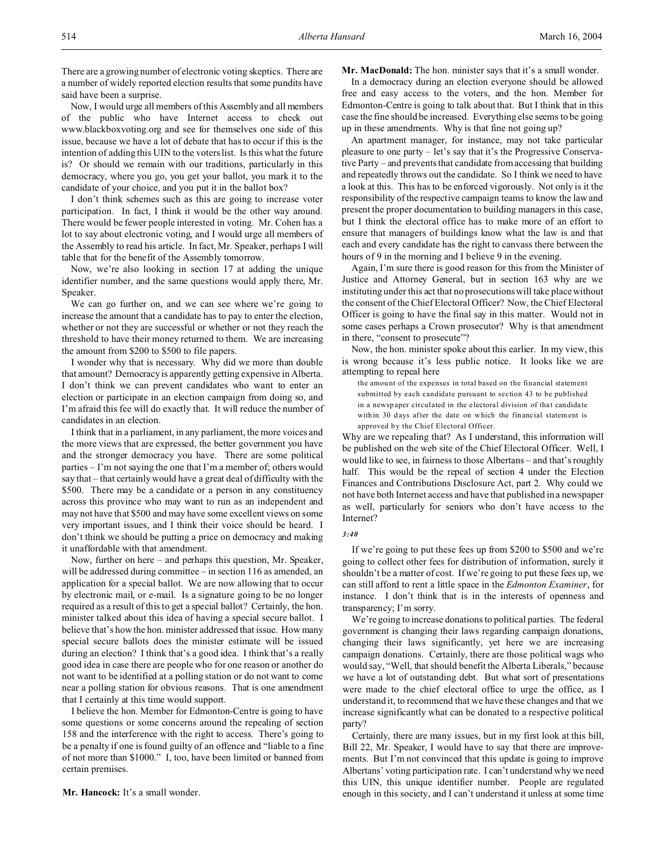There are a growing number of electronic voting skeptics. There are a number of widely reported election results that some pundits have said have been a surprise.

Now, I would urge all members of this Assembly and all members of the public who have Internet access to check out www.blackboxvoting.org and see for themselves one side of this issue, because we have a lot of debate that has to occur if this is the intention of adding this UIN to the voters list. Is this what the future is? Or should we remain with our traditions, particularly in this democracy, where you go, you get your ballot, you mark it to the candidate of your choice, and you put it in the ballot box?

I don't think schemes such as this are going to increase voter participation. In fact, I think it would be the other way around. There would be fewer people interested in voting. Mr. Cohen has a lot to say about electronic voting, and I would urge all members of the Assembly to read his article. In fact, Mr. Speaker, perhaps I will table that for the benefit of the Assembly tomorrow.

Now, we're also looking in section 17 at adding the unique identifier number, and the same questions would apply there, Mr. Speaker.

We can go further on, and we can see where we're going to increase the amount that a candidate has to pay to enter the election, whether or not they are successful or whether or not they reach the threshold to have their money returned to them. We are increasing the amount from \$200 to \$500 to file papers.

I wonder why that is necessary. Why did we more than double that amount? Democracy is apparently getting expensive in Alberta. I don't think we can prevent candidates who want to enter an election or participate in an election campaign from doing so, and I'm afraid this fee will do exactly that. It will reduce the number of candidates in an election.

I think that in a parliament, in any parliament, the more voices and the more views that are expressed, the better government you have and the stronger democracy you have. There are some political parties – I'm not saying the one that I'm a member of; others would say that – that certainly would have a great deal of difficulty with the \$500. There may be a candidate or a person in any constituency across this province who may want to run as an independent and may not have that \$500 and may have some excellent views on some very important issues, and I think their voice should be heard. I don't think we should be putting a price on democracy and making it unaffordable with that amendment.

Now, further on here – and perhaps this question, Mr. Speaker, will be addressed during committee – in section 116 as amended, an application for a special ballot. We are now allowing that to occur by electronic mail, or e-mail. Is a signature going to be no longer required as a result of this to get a special ballot? Certainly, the hon. minister talked about this idea of having a special secure ballot. I believe that's how the hon. minister addressed that issue. How many special secure ballots does the minister estimate will be issued during an election? I think that's a good idea. I think that's a really good idea in case there are people who for one reason or another do not want to be identified at a polling station or do not want to come near a polling station for obvious reasons. That is one amendment that I certainly at this time would support.

I believe the hon. Member for Edmonton-Centre is going to have some questions or some concerns around the repealing of section 158 and the interference with the right to access. There's going to be a penalty if one is found guilty of an offence and "liable to a fine of not more than \$1000." I, too, have been limited or banned from certain premises.

**Mr. Hancock:** It's a small wonder.

**Mr. MacDonald:** The hon. minister says that it's a small wonder.

In a democracy during an election everyone should be allowed free and easy access to the voters, and the hon. Member for Edmonton-Centre is going to talk about that. But I think that in this case the fine should be increased. Everything else seems to be going up in these amendments. Why is that fine not going up?

An apartment manager, for instance, may not take particular pleasure to one party – let's say that it's the Progressive Conservative Party – and prevents that candidate from accessing that building and repeatedly throws out the candidate. So I think we need to have a look at this. This has to be enforced vigorously. Not only is it the responsibility of the respective campaign teams to know the law and present the proper documentation to building managers in this case, but I think the electoral office has to make more of an effort to ensure that managers of buildings know what the law is and that each and every candidate has the right to canvass there between the hours of 9 in the morning and I believe 9 in the evening.

Again, I'm sure there is good reason for this from the Minister of Justice and Attorney General, but in section 163 why are we instituting under this act that no prosecutions will take place without the consent of the Chief Electoral Officer? Now, the Chief Electoral Officer is going to have the final say in this matter. Would not in some cases perhaps a Crown prosecutor? Why is that amendment in there, "consent to prosecute"?

Now, the hon. minister spoke about this earlier. In my view, this is wrong because it's less public notice. It looks like we are attempting to repeal here

the amount of the expenses in total based on the financial statement submitted by each candidate pursuant to section 43 to be published in a newspaper circulated in the electoral division of that candidate within 30 days after the date on which the financial statement is approved by the Chief Electoral Officer.

Why are we repealing that? As I understand, this information will be published on the web site of the Chief Electoral Officer. Well, I would like to see, in fairness to those Albertans – and that's roughly half. This would be the repeal of section 4 under the Election Finances and Contributions Disclosure Act, part 2. Why could we not have both Internet access and have that published in a newspaper as well, particularly for seniors who don't have access to the Internet?

#### *3:40*

If we're going to put these fees up from \$200 to \$500 and we're going to collect other fees for distribution of information, surely it shouldn't be a matter of cost. If we're going to put these fees up, we can still afford to rent a little space in the *Edmonton Examiner*, for instance. I don't think that is in the interests of openness and transparency; I'm sorry.

We're going to increase donations to political parties. The federal government is changing their laws regarding campaign donations, changing their laws significantly, yet here we are increasing campaign donations. Certainly, there are those political wags who would say, "Well, that should benefit the Alberta Liberals," because we have a lot of outstanding debt. But what sort of presentations were made to the chief electoral office to urge the office, as I understand it, to recommend that we have these changes and that we increase significantly what can be donated to a respective political party?

Certainly, there are many issues, but in my first look at this bill, Bill 22, Mr. Speaker, I would have to say that there are improvements. But I'm not convinced that this update is going to improve Albertans' voting participation rate. I can't understand why we need this UIN, this unique identifier number. People are regulated enough in this society, and I can't understand it unless at some time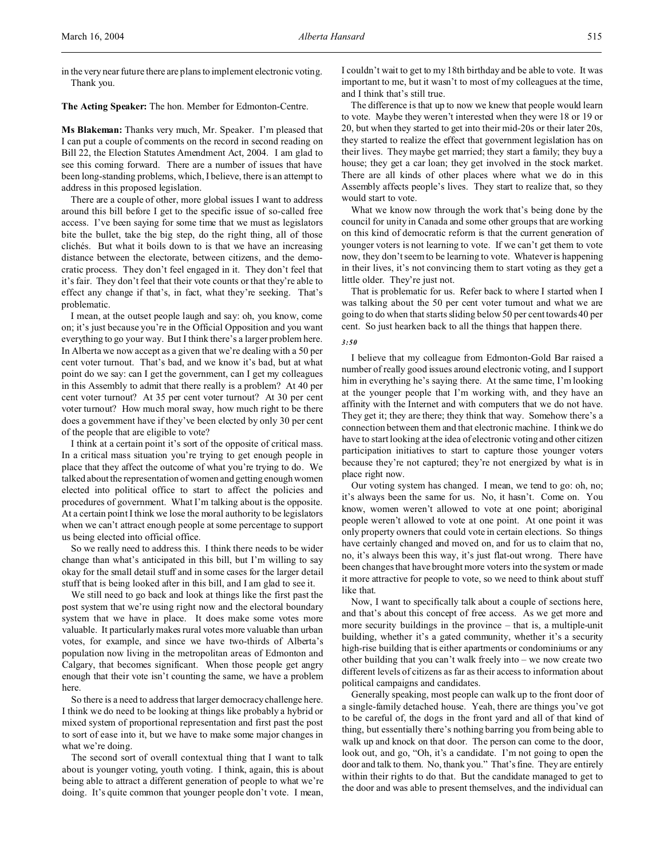in the very near future there are plans to implement electronic voting. Thank you.

**The Acting Speaker:** The hon. Member for Edmonton-Centre.

**Ms Blakeman:** Thanks very much, Mr. Speaker. I'm pleased that I can put a couple of comments on the record in second reading on Bill 22, the Election Statutes Amendment Act, 2004. I am glad to see this coming forward. There are a number of issues that have been long-standing problems, which, I believe, there is an attempt to address in this proposed legislation.

There are a couple of other, more global issues I want to address around this bill before I get to the specific issue of so-called free access. I've been saying for some time that we must as legislators bite the bullet, take the big step, do the right thing, all of those clichés. But what it boils down to is that we have an increasing distance between the electorate, between citizens, and the democratic process. They don't feel engaged in it. They don't feel that it's fair. They don't feel that their vote counts or that they're able to effect any change if that's, in fact, what they're seeking. That's problematic.

I mean, at the outset people laugh and say: oh, you know, come on; it's just because you're in the Official Opposition and you want everything to go your way. But I think there's a larger problem here. In Alberta we now accept as a given that we're dealing with a 50 per cent voter turnout. That's bad, and we know it's bad, but at what point do we say: can I get the government, can I get my colleagues in this Assembly to admit that there really is a problem? At 40 per cent voter turnout? At 35 per cent voter turnout? At 30 per cent voter turnout? How much moral sway, how much right to be there does a government have if they've been elected by only 30 per cent of the people that are eligible to vote?

I think at a certain point it's sort of the opposite of critical mass. In a critical mass situation you're trying to get enough people in place that they affect the outcome of what you're trying to do. We talked about the representation of women and getting enough women elected into political office to start to affect the policies and procedures of government. What I'm talking about is the opposite. At a certain point I think we lose the moral authority to be legislators when we can't attract enough people at some percentage to support us being elected into official office.

So we really need to address this. I think there needs to be wider change than what's anticipated in this bill, but I'm willing to say okay for the small detail stuff and in some cases for the larger detail stuff that is being looked after in this bill, and I am glad to see it.

We still need to go back and look at things like the first past the post system that we're using right now and the electoral boundary system that we have in place. It does make some votes more valuable. It particularly makes rural votes more valuable than urban votes, for example, and since we have two-thirds of Alberta's population now living in the metropolitan areas of Edmonton and Calgary, that becomes significant. When those people get angry enough that their vote isn't counting the same, we have a problem here.

So there is a need to address that larger democracy challenge here. I think we do need to be looking at things like probably a hybrid or mixed system of proportional representation and first past the post to sort of ease into it, but we have to make some major changes in what we're doing.

The second sort of overall contextual thing that I want to talk about is younger voting, youth voting. I think, again, this is about being able to attract a different generation of people to what we're doing. It's quite common that younger people don't vote. I mean,

I couldn't wait to get to my 18th birthday and be able to vote. It was important to me, but it wasn't to most of my colleagues at the time, and I think that's still true.

The difference is that up to now we knew that people would learn to vote. Maybe they weren't interested when they were 18 or 19 or 20, but when they started to get into their mid-20s or their later 20s, they started to realize the effect that government legislation has on their lives. They maybe get married; they start a family; they buy a house; they get a car loan; they get involved in the stock market. There are all kinds of other places where what we do in this Assembly affects people's lives. They start to realize that, so they would start to vote.

What we know now through the work that's being done by the council for unity in Canada and some other groups that are working on this kind of democratic reform is that the current generation of younger voters is not learning to vote. If we can't get them to vote now, they don't seem to be learning to vote. Whatever is happening in their lives, it's not convincing them to start voting as they get a little older. They're just not.

That is problematic for us. Refer back to where I started when I was talking about the 50 per cent voter turnout and what we are going to do when that starts sliding below 50 per cent towards 40 per cent. So just hearken back to all the things that happen there.

### *3:50*

I believe that my colleague from Edmonton-Gold Bar raised a number of really good issues around electronic voting, and I support him in everything he's saying there. At the same time, I'm looking at the younger people that I'm working with, and they have an affinity with the Internet and with computers that we do not have. They get it; they are there; they think that way. Somehow there's a connection between them and that electronic machine. I think we do have to start looking at the idea of electronic voting and other citizen participation initiatives to start to capture those younger voters because they're not captured; they're not energized by what is in place right now.

Our voting system has changed. I mean, we tend to go: oh, no; it's always been the same for us. No, it hasn't. Come on. You know, women weren't allowed to vote at one point; aboriginal people weren't allowed to vote at one point. At one point it was only property owners that could vote in certain elections. So things have certainly changed and moved on, and for us to claim that no, no, it's always been this way, it's just flat-out wrong. There have been changes that have brought more voters into the system or made it more attractive for people to vote, so we need to think about stuff like that.

Now, I want to specifically talk about a couple of sections here, and that's about this concept of free access. As we get more and more security buildings in the province – that is, a multiple-unit building, whether it's a gated community, whether it's a security high-rise building that is either apartments or condominiums or any other building that you can't walk freely into – we now create two different levels of citizens as far as their access to information about political campaigns and candidates.

Generally speaking, most people can walk up to the front door of a single-family detached house. Yeah, there are things you've got to be careful of, the dogs in the front yard and all of that kind of thing, but essentially there's nothing barring you from being able to walk up and knock on that door. The person can come to the door, look out, and go, "Oh, it's a candidate. I'm not going to open the door and talk to them. No, thank you." That's fine. They are entirely within their rights to do that. But the candidate managed to get to the door and was able to present themselves, and the individual can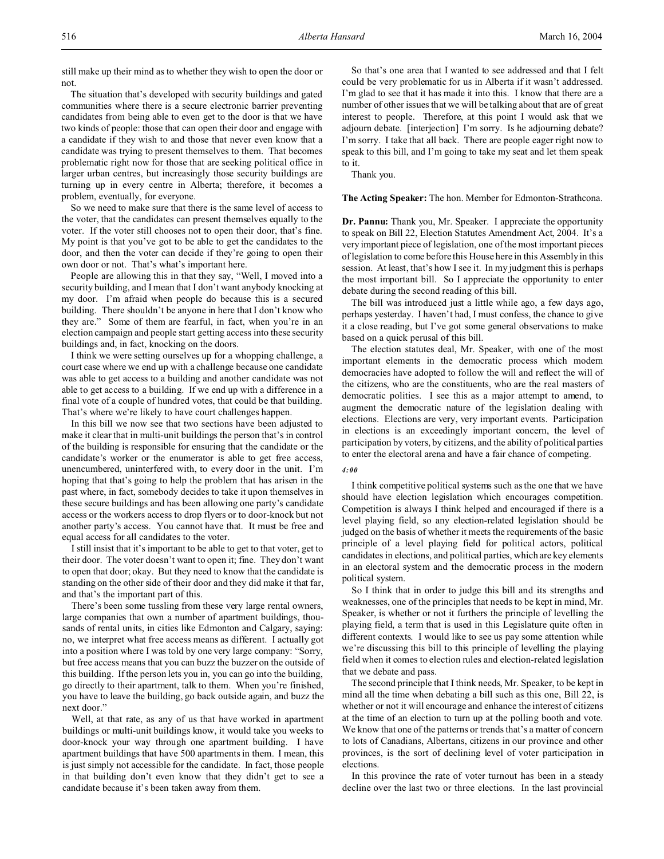still make up their mind as to whether they wish to open the door or not.

The situation that's developed with security buildings and gated communities where there is a secure electronic barrier preventing candidates from being able to even get to the door is that we have two kinds of people: those that can open their door and engage with a candidate if they wish to and those that never even know that a candidate was trying to present themselves to them. That becomes problematic right now for those that are seeking political office in larger urban centres, but increasingly those security buildings are turning up in every centre in Alberta; therefore, it becomes a problem, eventually, for everyone.

So we need to make sure that there is the same level of access to the voter, that the candidates can present themselves equally to the voter. If the voter still chooses not to open their door, that's fine. My point is that you've got to be able to get the candidates to the door, and then the voter can decide if they're going to open their own door or not. That's what's important here.

People are allowing this in that they say, "Well, I moved into a security building, and I mean that I don't want anybody knocking at my door. I'm afraid when people do because this is a secured building. There shouldn't be anyone in here that I don't know who they are." Some of them are fearful, in fact, when you're in an election campaign and people start getting access into these security buildings and, in fact, knocking on the doors.

I think we were setting ourselves up for a whopping challenge, a court case where we end up with a challenge because one candidate was able to get access to a building and another candidate was not able to get access to a building. If we end up with a difference in a final vote of a couple of hundred votes, that could be that building. That's where we're likely to have court challenges happen.

In this bill we now see that two sections have been adjusted to make it clear that in multi-unit buildings the person that's in control of the building is responsible for ensuring that the candidate or the candidate's worker or the enumerator is able to get free access, unencumbered, uninterfered with, to every door in the unit. I'm hoping that that's going to help the problem that has arisen in the past where, in fact, somebody decides to take it upon themselves in these secure buildings and has been allowing one party's candidate access or the workers access to drop flyers or to door-knock but not another party's access. You cannot have that. It must be free and equal access for all candidates to the voter.

I still insist that it's important to be able to get to that voter, get to their door. The voter doesn't want to open it; fine. They don't want to open that door; okay. But they need to know that the candidate is standing on the other side of their door and they did make it that far, and that's the important part of this.

There's been some tussling from these very large rental owners, large companies that own a number of apartment buildings, thousands of rental units, in cities like Edmonton and Calgary, saying: no, we interpret what free access means as different. I actually got into a position where I was told by one very large company: "Sorry, but free access means that you can buzz the buzzer on the outside of this building. If the person lets you in, you can go into the building, go directly to their apartment, talk to them. When you're finished, you have to leave the building, go back outside again, and buzz the next door."

Well, at that rate, as any of us that have worked in apartment buildings or multi-unit buildings know, it would take you weeks to door-knock your way through one apartment building. I have apartment buildings that have 500 apartments in them. I mean, this is just simply not accessible for the candidate. In fact, those people in that building don't even know that they didn't get to see a candidate because it's been taken away from them.

So that's one area that I wanted to see addressed and that I felt could be very problematic for us in Alberta if it wasn't addressed. I'm glad to see that it has made it into this. I know that there are a number of other issues that we will be talking about that are of great interest to people. Therefore, at this point I would ask that we adjourn debate. [interjection] I'm sorry. Is he adjourning debate? I'm sorry. I take that all back. There are people eager right now to speak to this bill, and I'm going to take my seat and let them speak to it.

Thank you.

**The Acting Speaker:** The hon. Member for Edmonton-Strathcona.

**Dr. Pannu:** Thank you, Mr. Speaker. I appreciate the opportunity to speak on Bill 22, Election Statutes Amendment Act, 2004. It's a very important piece of legislation, one of the most important pieces of legislation to come before this House here in this Assembly in this session. At least, that's how I see it. In my judgment this is perhaps the most important bill. So I appreciate the opportunity to enter debate during the second reading of this bill.

The bill was introduced just a little while ago, a few days ago, perhaps yesterday. I haven't had, I must confess, the chance to give it a close reading, but I've got some general observations to make based on a quick perusal of this bill.

The election statutes deal, Mr. Speaker, with one of the most important elements in the democratic process which modern democracies have adopted to follow the will and reflect the will of the citizens, who are the constituents, who are the real masters of democratic polities. I see this as a major attempt to amend, to augment the democratic nature of the legislation dealing with elections. Elections are very, very important events. Participation in elections is an exceedingly important concern, the level of participation by voters, by citizens, and the ability of political parties to enter the electoral arena and have a fair chance of competing.

## *4:00*

I think competitive political systems such as the one that we have should have election legislation which encourages competition. Competition is always I think helped and encouraged if there is a level playing field, so any election-related legislation should be judged on the basis of whether it meets the requirements of the basic principle of a level playing field for political actors, political candidates in elections, and political parties, which are key elements in an electoral system and the democratic process in the modern political system.

So I think that in order to judge this bill and its strengths and weaknesses, one of the principles that needs to be kept in mind, Mr. Speaker, is whether or not it furthers the principle of levelling the playing field, a term that is used in this Legislature quite often in different contexts. I would like to see us pay some attention while we're discussing this bill to this principle of levelling the playing field when it comes to election rules and election-related legislation that we debate and pass.

The second principle that I think needs, Mr. Speaker, to be kept in mind all the time when debating a bill such as this one, Bill 22, is whether or not it will encourage and enhance the interest of citizens at the time of an election to turn up at the polling booth and vote. We know that one of the patterns or trends that's a matter of concern to lots of Canadians, Albertans, citizens in our province and other provinces, is the sort of declining level of voter participation in elections.

In this province the rate of voter turnout has been in a steady decline over the last two or three elections. In the last provincial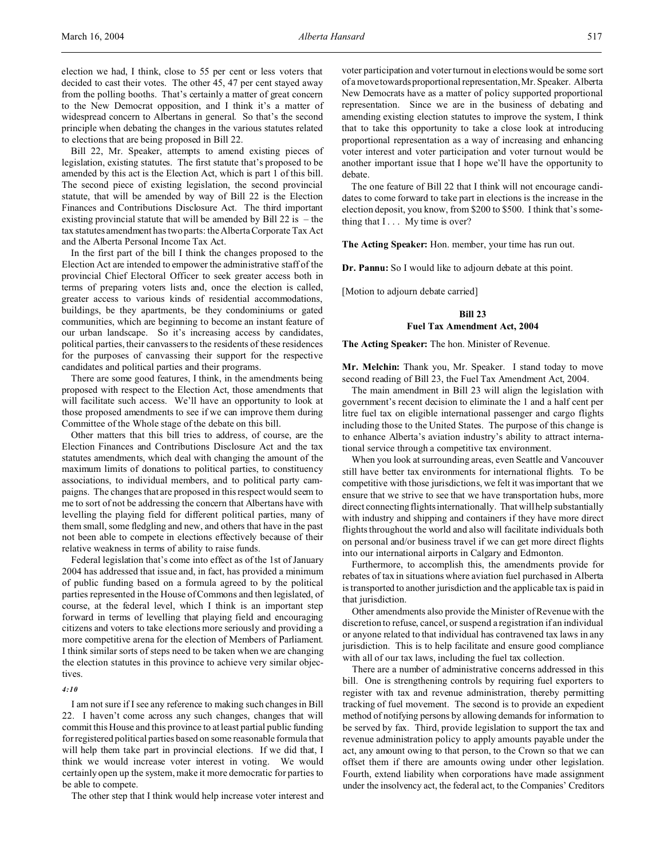election we had, I think, close to 55 per cent or less voters that decided to cast their votes. The other 45, 47 per cent stayed away from the polling booths. That's certainly a matter of great concern to the New Democrat opposition, and I think it's a matter of widespread concern to Albertans in general. So that's the second principle when debating the changes in the various statutes related to elections that are being proposed in Bill 22.

Bill 22, Mr. Speaker, attempts to amend existing pieces of legislation, existing statutes. The first statute that's proposed to be amended by this act is the Election Act, which is part 1 of this bill. The second piece of existing legislation, the second provincial statute, that will be amended by way of Bill 22 is the Election Finances and Contributions Disclosure Act. The third important existing provincial statute that will be amended by Bill  $22$  is – the tax statutes amendment has two parts: the Alberta Corporate Tax Act and the Alberta Personal Income Tax Act.

In the first part of the bill I think the changes proposed to the Election Act are intended to empower the administrative staff of the provincial Chief Electoral Officer to seek greater access both in terms of preparing voters lists and, once the election is called, greater access to various kinds of residential accommodations, buildings, be they apartments, be they condominiums or gated communities, which are beginning to become an instant feature of our urban landscape. So it's increasing access by candidates, political parties, their canvassers to the residents of these residences for the purposes of canvassing their support for the respective candidates and political parties and their programs.

There are some good features, I think, in the amendments being proposed with respect to the Election Act, those amendments that will facilitate such access. We'll have an opportunity to look at those proposed amendments to see if we can improve them during Committee of the Whole stage of the debate on this bill.

Other matters that this bill tries to address, of course, are the Election Finances and Contributions Disclosure Act and the tax statutes amendments, which deal with changing the amount of the maximum limits of donations to political parties, to constituency associations, to individual members, and to political party campaigns. The changes that are proposed in this respect would seem to me to sort of not be addressing the concern that Albertans have with levelling the playing field for different political parties, many of them small, some fledgling and new, and others that have in the past not been able to compete in elections effectively because of their relative weakness in terms of ability to raise funds.

Federal legislation that's come into effect as of the 1st of January 2004 has addressed that issue and, in fact, has provided a minimum of public funding based on a formula agreed to by the political parties represented in the House of Commons and then legislated, of course, at the federal level, which I think is an important step forward in terms of levelling that playing field and encouraging citizens and voters to take elections more seriously and providing a more competitive arena for the election of Members of Parliament. I think similar sorts of steps need to be taken when we are changing the election statutes in this province to achieve very similar objectives.

### *4:10*

I am not sure if I see any reference to making such changes in Bill 22. I haven't come across any such changes, changes that will commit this House and this province to at least partial public funding for registered political parties based on some reasonable formula that will help them take part in provincial elections. If we did that, I think we would increase voter interest in voting. We would certainly open up the system, make it more democratic for parties to be able to compete.

The other step that I think would help increase voter interest and

voter participation and voter turnout in elections would be some sort of a move towards proportional representation, Mr. Speaker. Alberta New Democrats have as a matter of policy supported proportional representation. Since we are in the business of debating and amending existing election statutes to improve the system, I think that to take this opportunity to take a close look at introducing proportional representation as a way of increasing and enhancing voter interest and voter participation and voter turnout would be another important issue that I hope we'll have the opportunity to debate.

The one feature of Bill 22 that I think will not encourage candidates to come forward to take part in elections is the increase in the election deposit, you know, from \$200 to \$500. I think that's something that I . . . My time is over?

**The Acting Speaker:** Hon. member, your time has run out.

**Dr. Pannu:** So I would like to adjourn debate at this point.

[Motion to adjourn debate carried]

# **Bill 23**

### **Fuel Tax Amendment Act, 2004**

**The Acting Speaker:** The hon. Minister of Revenue.

**Mr. Melchin:** Thank you, Mr. Speaker. I stand today to move second reading of Bill 23, the Fuel Tax Amendment Act, 2004.

The main amendment in Bill 23 will align the legislation with government's recent decision to eliminate the 1 and a half cent per litre fuel tax on eligible international passenger and cargo flights including those to the United States. The purpose of this change is to enhance Alberta's aviation industry's ability to attract international service through a competitive tax environment.

When you look at surrounding areas, even Seattle and Vancouver still have better tax environments for international flights. To be competitive with those jurisdictions, we felt it was important that we ensure that we strive to see that we have transportation hubs, more direct connecting flights internationally. That will help substantially with industry and shipping and containers if they have more direct flights throughout the world and also will facilitate individuals both on personal and/or business travel if we can get more direct flights into our international airports in Calgary and Edmonton.

Furthermore, to accomplish this, the amendments provide for rebates of tax in situations where aviation fuel purchased in Alberta is transported to another jurisdiction and the applicable tax is paid in that jurisdiction.

Other amendments also provide the Minister of Revenue with the discretion to refuse, cancel, or suspend a registration if an individual or anyone related to that individual has contravened tax laws in any jurisdiction. This is to help facilitate and ensure good compliance with all of our tax laws, including the fuel tax collection.

There are a number of administrative concerns addressed in this bill. One is strengthening controls by requiring fuel exporters to register with tax and revenue administration, thereby permitting tracking of fuel movement. The second is to provide an expedient method of notifying persons by allowing demands for information to be served by fax. Third, provide legislation to support the tax and revenue administration policy to apply amounts payable under the act, any amount owing to that person, to the Crown so that we can offset them if there are amounts owing under other legislation. Fourth, extend liability when corporations have made assignment under the insolvency act, the federal act, to the Companies' Creditors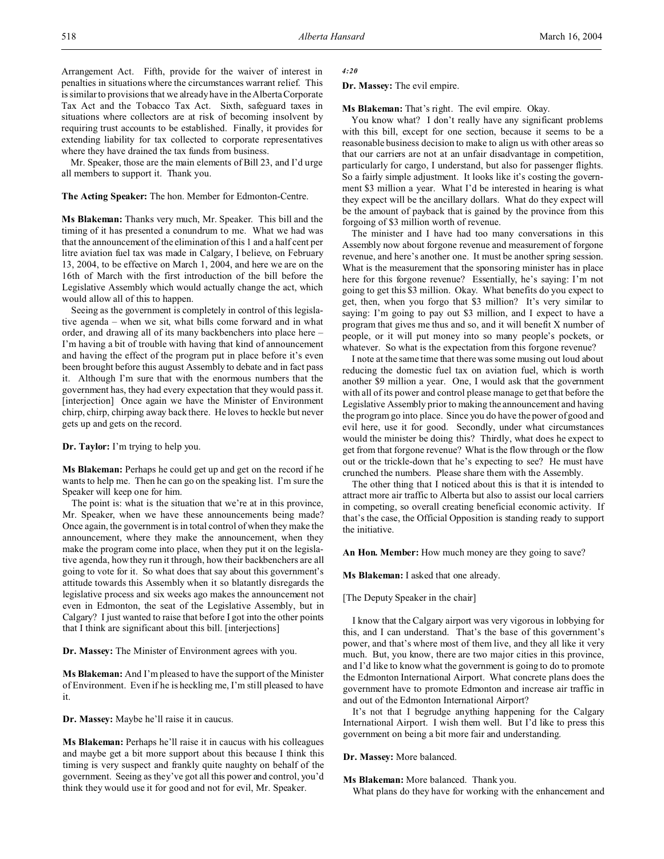Arrangement Act. Fifth, provide for the waiver of interest in penalties in situations where the circumstances warrant relief. This is similar to provisions that we already have in the Alberta Corporate Tax Act and the Tobacco Tax Act. Sixth, safeguard taxes in situations where collectors are at risk of becoming insolvent by requiring trust accounts to be established. Finally, it provides for extending liability for tax collected to corporate representatives where they have drained the tax funds from business.

Mr. Speaker, those are the main elements of Bill 23, and I'd urge all members to support it. Thank you.

# **The Acting Speaker:** The hon. Member for Edmonton-Centre.

**Ms Blakeman:** Thanks very much, Mr. Speaker. This bill and the timing of it has presented a conundrum to me. What we had was that the announcement of the elimination of this 1 and a half cent per litre aviation fuel tax was made in Calgary, I believe, on February 13, 2004, to be effective on March 1, 2004, and here we are on the 16th of March with the first introduction of the bill before the Legislative Assembly which would actually change the act, which would allow all of this to happen.

Seeing as the government is completely in control of this legislative agenda – when we sit, what bills come forward and in what order, and drawing all of its many backbenchers into place here – I'm having a bit of trouble with having that kind of announcement and having the effect of the program put in place before it's even been brought before this august Assembly to debate and in fact pass it. Although I'm sure that with the enormous numbers that the government has, they had every expectation that they would pass it. [interjection] Once again we have the Minister of Environment chirp, chirp, chirping away back there. He loves to heckle but never gets up and gets on the record.

**Dr. Taylor:** I'm trying to help you.

**Ms Blakeman:** Perhaps he could get up and get on the record if he wants to help me. Then he can go on the speaking list. I'm sure the Speaker will keep one for him.

The point is: what is the situation that we're at in this province, Mr. Speaker, when we have these announcements being made? Once again, the government is in total control of when they make the announcement, where they make the announcement, when they make the program come into place, when they put it on the legislative agenda, how they run it through, how their backbenchers are all going to vote for it. So what does that say about this government's attitude towards this Assembly when it so blatantly disregards the legislative process and six weeks ago makes the announcement not even in Edmonton, the seat of the Legislative Assembly, but in Calgary? I just wanted to raise that before I got into the other points that I think are significant about this bill. [interjections]

**Dr. Massey:** The Minister of Environment agrees with you.

**Ms Blakeman:** And I'm pleased to have the support of the Minister of Environment. Even if he is heckling me, I'm still pleased to have it.

**Dr. Massey:** Maybe he'll raise it in caucus.

**Ms Blakeman:** Perhaps he'll raise it in caucus with his colleagues and maybe get a bit more support about this because I think this timing is very suspect and frankly quite naughty on behalf of the government. Seeing as they've got all this power and control, you'd think they would use it for good and not for evil, Mr. Speaker.

*4:20*

**Dr. Massey:** The evil empire.

**Ms Blakeman:** That's right. The evil empire. Okay.

You know what? I don't really have any significant problems with this bill, except for one section, because it seems to be a reasonable business decision to make to align us with other areas so that our carriers are not at an unfair disadvantage in competition, particularly for cargo, I understand, but also for passenger flights. So a fairly simple adjustment. It looks like it's costing the government \$3 million a year. What I'd be interested in hearing is what they expect will be the ancillary dollars. What do they expect will be the amount of payback that is gained by the province from this forgoing of \$3 million worth of revenue.

The minister and I have had too many conversations in this Assembly now about forgone revenue and measurement of forgone revenue, and here's another one. It must be another spring session. What is the measurement that the sponsoring minister has in place here for this forgone revenue? Essentially, he's saying: I'm not going to get this \$3 million. Okay. What benefits do you expect to get, then, when you forgo that \$3 million? It's very similar to saying: I'm going to pay out \$3 million, and I expect to have a program that gives me thus and so, and it will benefit X number of people, or it will put money into so many people's pockets, or whatever. So what is the expectation from this forgone revenue?

I note at the same time that there was some musing out loud about reducing the domestic fuel tax on aviation fuel, which is worth another \$9 million a year. One, I would ask that the government with all of its power and control please manage to get that before the Legislative Assembly prior to making the announcement and having the program go into place. Since you do have the power of good and evil here, use it for good. Secondly, under what circumstances would the minister be doing this? Thirdly, what does he expect to get from that forgone revenue? What is the flow through or the flow out or the trickle-down that he's expecting to see? He must have crunched the numbers. Please share them with the Assembly.

The other thing that I noticed about this is that it is intended to attract more air traffic to Alberta but also to assist our local carriers in competing, so overall creating beneficial economic activity. If that's the case, the Official Opposition is standing ready to support the initiative.

**An Hon. Member:** How much money are they going to save?

#### **Ms Blakeman:** I asked that one already.

[The Deputy Speaker in the chair]

I know that the Calgary airport was very vigorous in lobbying for this, and I can understand. That's the base of this government's power, and that's where most of them live, and they all like it very much. But, you know, there are two major cities in this province, and I'd like to know what the government is going to do to promote the Edmonton International Airport. What concrete plans does the government have to promote Edmonton and increase air traffic in and out of the Edmonton International Airport?

It's not that I begrudge anything happening for the Calgary International Airport. I wish them well. But I'd like to press this government on being a bit more fair and understanding.

#### **Dr. Massey:** More balanced.

**Ms Blakeman:** More balanced. Thank you.

What plans do they have for working with the enhancement and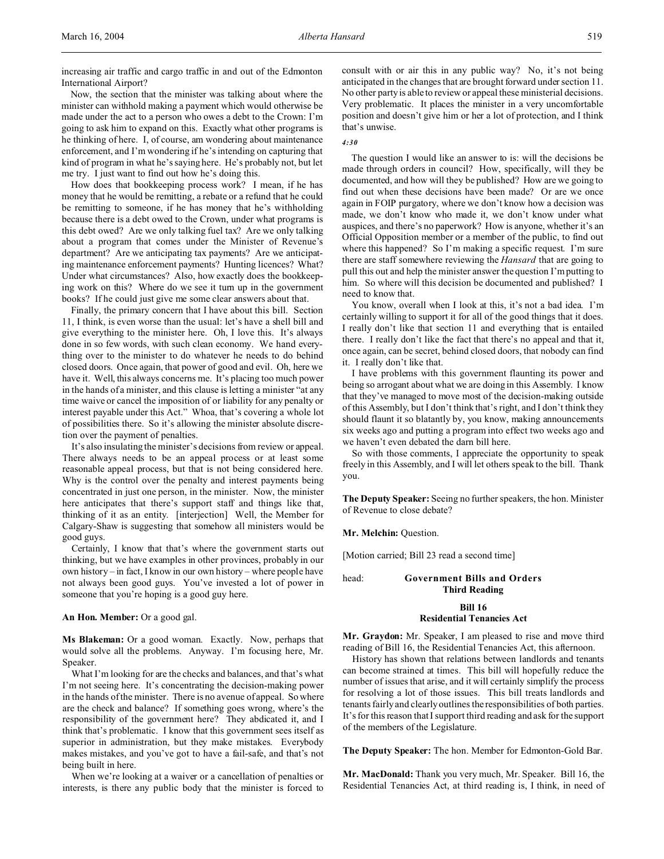increasing air traffic and cargo traffic in and out of the Edmonton International Airport?

Now, the section that the minister was talking about where the minister can withhold making a payment which would otherwise be made under the act to a person who owes a debt to the Crown: I'm going to ask him to expand on this. Exactly what other programs is he thinking of here. I, of course, am wondering about maintenance enforcement, and I'm wondering if he's intending on capturing that kind of program in what he's saying here. He's probably not, but let me try. I just want to find out how he's doing this.

How does that bookkeeping process work? I mean, if he has money that he would be remitting, a rebate or a refund that he could be remitting to someone, if he has money that he's withholding because there is a debt owed to the Crown, under what programs is this debt owed? Are we only talking fuel tax? Are we only talking about a program that comes under the Minister of Revenue's department? Are we anticipating tax payments? Are we anticipating maintenance enforcement payments? Hunting licences? What? Under what circumstances? Also, how exactly does the bookkeeping work on this? Where do we see it turn up in the government books? If he could just give me some clear answers about that.

Finally, the primary concern that I have about this bill. Section 11, I think, is even worse than the usual: let's have a shell bill and give everything to the minister here. Oh, I love this. It's always done in so few words, with such clean economy. We hand everything over to the minister to do whatever he needs to do behind closed doors. Once again, that power of good and evil. Oh, here we have it. Well, this always concerns me. It's placing too much power in the hands of a minister, and this clause is letting a minister "at any time waive or cancel the imposition of or liability for any penalty or interest payable under this Act." Whoa, that's covering a whole lot of possibilities there. So it's allowing the minister absolute discretion over the payment of penalties.

It's also insulating the minister's decisions from review or appeal. There always needs to be an appeal process or at least some reasonable appeal process, but that is not being considered here. Why is the control over the penalty and interest payments being concentrated in just one person, in the minister. Now, the minister here anticipates that there's support staff and things like that, thinking of it as an entity. [interjection] Well, the Member for Calgary-Shaw is suggesting that somehow all ministers would be good guys.

Certainly, I know that that's where the government starts out thinking, but we have examples in other provinces, probably in our own history – in fact, I know in our own history – where people have not always been good guys. You've invested a lot of power in someone that you're hoping is a good guy here.

**An Hon. Member:** Or a good gal.

**Ms Blakeman:** Or a good woman. Exactly. Now, perhaps that would solve all the problems. Anyway. I'm focusing here, Mr. Speaker.

What I'm looking for are the checks and balances, and that's what I'm not seeing here. It's concentrating the decision-making power in the hands of the minister. There is no avenue of appeal. So where are the check and balance? If something goes wrong, where's the responsibility of the government here? They abdicated it, and I think that's problematic. I know that this government sees itself as superior in administration, but they make mistakes. Everybody makes mistakes, and you've got to have a fail-safe, and that's not being built in here.

When we're looking at a waiver or a cancellation of penalties or interests, is there any public body that the minister is forced to consult with or air this in any public way? No, it's not being anticipated in the changes that are brought forward under section 11. No other party is able to review or appeal these ministerial decisions. Very problematic. It places the minister in a very uncomfortable position and doesn't give him or her a lot of protection, and I think that's unwise.

## *4:30*

The question I would like an answer to is: will the decisions be made through orders in council? How, specifically, will they be documented, and how will they be published? How are we going to find out when these decisions have been made? Or are we once again in FOIP purgatory, where we don't know how a decision was made, we don't know who made it, we don't know under what auspices, and there's no paperwork? How is anyone, whether it's an Official Opposition member or a member of the public, to find out where this happened? So I'm making a specific request. I'm sure there are staff somewhere reviewing the *Hansard* that are going to pull this out and help the minister answer the question I'm putting to him. So where will this decision be documented and published? I need to know that.

You know, overall when I look at this, it's not a bad idea. I'm certainly willing to support it for all of the good things that it does. I really don't like that section 11 and everything that is entailed there. I really don't like the fact that there's no appeal and that it, once again, can be secret, behind closed doors, that nobody can find it. I really don't like that.

I have problems with this government flaunting its power and being so arrogant about what we are doing in this Assembly. I know that they've managed to move most of the decision-making outside of this Assembly, but I don't think that's right, and I don't think they should flaunt it so blatantly by, you know, making announcements six weeks ago and putting a program into effect two weeks ago and we haven't even debated the darn bill here.

So with those comments, I appreciate the opportunity to speak freely in this Assembly, and I will let others speak to the bill. Thank you.

**The Deputy Speaker:** Seeing no further speakers, the hon. Minister of Revenue to close debate?

**Mr. Melchin:** Question.

[Motion carried; Bill 23 read a second time]

head: **Government Bills and Orders Third Reading**

## **Bill 16**

# **Residential Tenancies Act**

**Mr. Graydon:** Mr. Speaker, I am pleased to rise and move third reading of Bill 16, the Residential Tenancies Act, this afternoon.

History has shown that relations between landlords and tenants can become strained at times. This bill will hopefully reduce the number of issues that arise, and it will certainly simplify the process for resolving a lot of those issues. This bill treats landlords and tenants fairly and clearly outlines the responsibilities of both parties. It's for this reason that I support third reading and ask for the support of the members of the Legislature.

**The Deputy Speaker:** The hon. Member for Edmonton-Gold Bar.

**Mr. MacDonald:** Thank you very much, Mr. Speaker. Bill 16, the Residential Tenancies Act, at third reading is, I think, in need of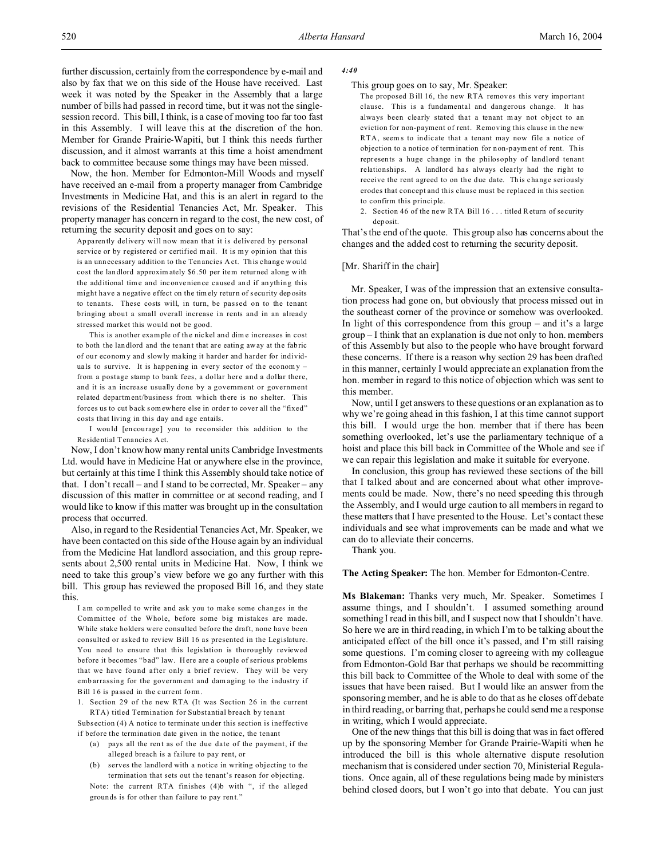further discussion, certainly from the correspondence by e-mail and also by fax that we on this side of the House have received. Last week it was noted by the Speaker in the Assembly that a large number of bills had passed in record time, but it was not the singlesession record. This bill, I think, is a case of moving too far too fast in this Assembly. I will leave this at the discretion of the hon. Member for Grande Prairie-Wapiti, but I think this needs further discussion, and it almost warrants at this time a hoist amendment back to committee because some things may have been missed.

Now, the hon. Member for Edmonton-Mill Woods and myself have received an e-mail from a property manager from Cambridge Investments in Medicine Hat, and this is an alert in regard to the revisions of the Residential Tenancies Act, Mr. Speaker. This property manager has concern in regard to the cost, the new cost, of returning the security deposit and goes on to say:

Ap paren tly delivery will now mean that it is delivered by personal service or by registered or certified mail. It is my opinion that this is an unnecessary addition to the Tenancies Act. This change would cost the landlord approxim ately \$6.50 per item returned along w ith the additional time and inconvenience caused and if anything this might have a negative effect on the timely return of security deposits to tenants. These costs will, in turn, be passed on to the tenant bringing about a small overall increase in rents and in an already stressed market this would not be good.

This is another example of the nickel and dime increases in cost to both the landlord and the tenant that are eating away at the fabric of our econom y and slowly making it harder and harder for individuals to survive. It is happening in every sector of the economy  $$ from a postage stamp to bank fees, a dollar here and a dollar there, and it is an increase usually done by a government or government related department/business from which there is no shelter. This forces us to cut back somewhere else in order to cover all the "fixed" costs that living in this day and age entails.

I wou ld [en courage] you to reconsider this addition to the Re sidential Tenancies Act.

Now, I don't know how many rental units Cambridge Investments Ltd. would have in Medicine Hat or anywhere else in the province, but certainly at this time I think this Assembly should take notice of that. I don't recall – and I stand to be corrected, Mr. Speaker – any discussion of this matter in committee or at second reading, and I would like to know if this matter was brought up in the consultation process that occurred.

Also, in regard to the Residential Tenancies Act, Mr. Speaker, we have been contacted on this side of the House again by an individual from the Medicine Hat landlord association, and this group represents about 2,500 rental units in Medicine Hat. Now, I think we need to take this group's view before we go any further with this bill. This group has reviewed the proposed Bill 16, and they state this.

I am compelled to write and ask you to make some changes in the Committee of the Whole, before some big mistakes are made. While stake holders were consulted before the draft, none have been consulted or asked to review Bill 16 as presented in the Legislature. You need to ensure that this legislation is thoroughly reviewed before it becomes "b ad" law. Here are a couple of serious problems that we have found after only a brief review. They will be very emb arrassing for the government and dam aging to the industry if Bill 16 is passed in the current form.

1. Section 29 of the new RTA (It was Section 26 in the current RTA) titled Termination for Substantial breach by tenant

Subs ection (4) A notice to terminate under this section is ineffective if before the termination date given in the notice, the tenant

- (a) pays all the rent as of the due date of the payment, if the alleged breach is a failure to pay rent, or
- (b) serves the landlord with a notice in writing objecting to the termination that sets out the tenant's reason for objecting.

Note: the current RTA finishes (4)b with ", if the alleged grounds is for other than failure to pay rent."

#### *4:40*

### This group goes on to say, Mr. Speaker:

The proposed Bill 16, the new RTA removes this very important clause. This is a fundamental and dangerous change. It has always been clearly stated that a tenant m ay not object to an eviction for non-payment of rent. Removing this clause in the new RTA, seem s to indicate that a tenant may now file a notice of objection to a notice of termination for non-payment of rent. This represents a huge change in the philosophy of landlord tenant relationships. A landlord has always clearly had the right to receive the rent agreed to on the due date. This change seriously erodes that concept and this clause must be replaced in this section to confirm this principle.

2. Section 46 of the new RTA Bill 16 . . . titled Return of security deposit.

That's the end of the quote. This group also has concerns about the changes and the added cost to returning the security deposit.

# [Mr. Shariff in the chair]

Mr. Speaker, I was of the impression that an extensive consultation process had gone on, but obviously that process missed out in the southeast corner of the province or somehow was overlooked. In light of this correspondence from this group  $-$  and it's a large group – I think that an explanation is due not only to hon. members of this Assembly but also to the people who have brought forward these concerns. If there is a reason why section 29 has been drafted in this manner, certainly I would appreciate an explanation from the hon. member in regard to this notice of objection which was sent to this member.

Now, until I get answers to these questions or an explanation as to why we're going ahead in this fashion, I at this time cannot support this bill. I would urge the hon. member that if there has been something overlooked, let's use the parliamentary technique of a hoist and place this bill back in Committee of the Whole and see if we can repair this legislation and make it suitable for everyone.

In conclusion, this group has reviewed these sections of the bill that I talked about and are concerned about what other improvements could be made. Now, there's no need speeding this through the Assembly, and I would urge caution to all members in regard to these matters that I have presented to the House. Let's contact these individuals and see what improvements can be made and what we can do to alleviate their concerns.

Thank you.

**The Acting Speaker:** The hon. Member for Edmonton-Centre.

**Ms Blakeman:** Thanks very much, Mr. Speaker. Sometimes I assume things, and I shouldn't. I assumed something around something I read in this bill, and I suspect now that I shouldn't have. So here we are in third reading, in which I'm to be talking about the anticipated effect of the bill once it's passed, and I'm still raising some questions. I'm coming closer to agreeing with my colleague from Edmonton-Gold Bar that perhaps we should be recommitting this bill back to Committee of the Whole to deal with some of the issues that have been raised. But I would like an answer from the sponsoring member, and he is able to do that as he closes off debate in third reading, or barring that, perhaps he could send me a response in writing, which I would appreciate.

One of the new things that this bill is doing that was in fact offered up by the sponsoring Member for Grande Prairie-Wapiti when he introduced the bill is this whole alternative dispute resolution mechanism that is considered under section 70, Ministerial Regulations. Once again, all of these regulations being made by ministers behind closed doors, but I won't go into that debate. You can just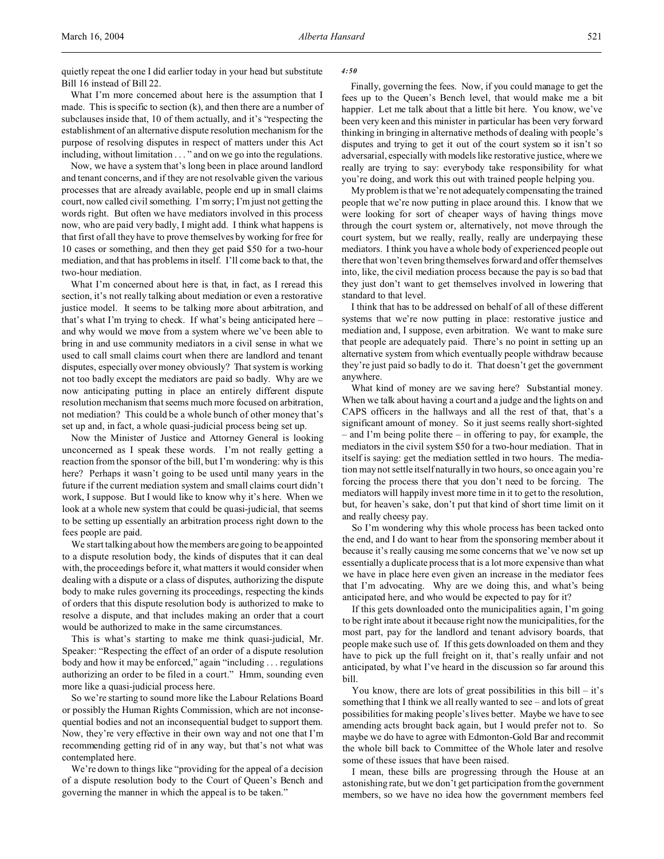quietly repeat the one I did earlier today in your head but substitute Bill 16 instead of Bill 22.

# What I'm more concerned about here is the assumption that I made. This is specific to section (k), and then there are a number of subclauses inside that, 10 of them actually, and it's "respecting the establishment of an alternative dispute resolution mechanism for the purpose of resolving disputes in respect of matters under this Act including, without limitation . . . " and on we go into the regulations.

Now, we have a system that's long been in place around landlord and tenant concerns, and if they are not resolvable given the various processes that are already available, people end up in small claims court, now called civil something. I'm sorry; I'm just not getting the words right. But often we have mediators involved in this process now, who are paid very badly, I might add. I think what happens is that first of all they have to prove themselves by working for free for 10 cases or something, and then they get paid \$50 for a two-hour mediation, and that has problems in itself. I'll come back to that, the two-hour mediation.

What I'm concerned about here is that, in fact, as I reread this section, it's not really talking about mediation or even a restorative justice model. It seems to be talking more about arbitration, and that's what I'm trying to check. If what's being anticipated here – and why would we move from a system where we've been able to bring in and use community mediators in a civil sense in what we used to call small claims court when there are landlord and tenant disputes, especially over money obviously? That system is working not too badly except the mediators are paid so badly. Why are we now anticipating putting in place an entirely different dispute resolution mechanism that seems much more focused on arbitration, not mediation? This could be a whole bunch of other money that's set up and, in fact, a whole quasi-judicial process being set up.

Now the Minister of Justice and Attorney General is looking unconcerned as I speak these words. I'm not really getting a reaction from the sponsor of the bill, but I'm wondering: why is this here? Perhaps it wasn't going to be used until many years in the future if the current mediation system and small claims court didn't work, I suppose. But I would like to know why it's here. When we look at a whole new system that could be quasi-judicial, that seems to be setting up essentially an arbitration process right down to the fees people are paid.

We start talking about how the members are going to be appointed to a dispute resolution body, the kinds of disputes that it can deal with, the proceedings before it, what matters it would consider when dealing with a dispute or a class of disputes, authorizing the dispute body to make rules governing its proceedings, respecting the kinds of orders that this dispute resolution body is authorized to make to resolve a dispute, and that includes making an order that a court would be authorized to make in the same circumstances.

This is what's starting to make me think quasi-judicial, Mr. Speaker: "Respecting the effect of an order of a dispute resolution body and how it may be enforced," again "including . . . regulations authorizing an order to be filed in a court." Hmm, sounding even more like a quasi-judicial process here.

So we're starting to sound more like the Labour Relations Board or possibly the Human Rights Commission, which are not inconsequential bodies and not an inconsequential budget to support them. Now, they're very effective in their own way and not one that I'm recommending getting rid of in any way, but that's not what was contemplated here.

We're down to things like "providing for the appeal of a decision of a dispute resolution body to the Court of Queen's Bench and governing the manner in which the appeal is to be taken."

# *4:50*

Finally, governing the fees. Now, if you could manage to get the fees up to the Queen's Bench level, that would make me a bit happier. Let me talk about that a little bit here. You know, we've been very keen and this minister in particular has been very forward thinking in bringing in alternative methods of dealing with people's disputes and trying to get it out of the court system so it isn't so adversarial, especially with models like restorative justice, where we really are trying to say: everybody take responsibility for what you're doing, and work this out with trained people helping you.

My problem is that we're not adequately compensating the trained people that we're now putting in place around this. I know that we were looking for sort of cheaper ways of having things move through the court system or, alternatively, not move through the court system, but we really, really, really are underpaying these mediators. I think you have a whole body of experienced people out there that won't even bring themselves forward and offer themselves into, like, the civil mediation process because the pay is so bad that they just don't want to get themselves involved in lowering that standard to that level.

I think that has to be addressed on behalf of all of these different systems that we're now putting in place: restorative justice and mediation and, I suppose, even arbitration. We want to make sure that people are adequately paid. There's no point in setting up an alternative system from which eventually people withdraw because they're just paid so badly to do it. That doesn't get the government anywhere.

What kind of money are we saving here? Substantial money. When we talk about having a court and a judge and the lights on and CAPS officers in the hallways and all the rest of that, that's a significant amount of money. So it just seems really short-sighted – and I'm being polite there – in offering to pay, for example, the mediators in the civil system \$50 for a two-hour mediation. That in itself is saying: get the mediation settled in two hours. The mediation may not settle itself naturally in two hours, so once again you're forcing the process there that you don't need to be forcing. The mediators will happily invest more time in it to get to the resolution, but, for heaven's sake, don't put that kind of short time limit on it and really cheesy pay.

So I'm wondering why this whole process has been tacked onto the end, and I do want to hear from the sponsoring member about it because it's really causing me some concerns that we've now set up essentially a duplicate process that is a lot more expensive than what we have in place here even given an increase in the mediator fees that I'm advocating. Why are we doing this, and what's being anticipated here, and who would be expected to pay for it?

If this gets downloaded onto the municipalities again, I'm going to be right irate about it because right now the municipalities, for the most part, pay for the landlord and tenant advisory boards, that people make such use of. If this gets downloaded on them and they have to pick up the full freight on it, that's really unfair and not anticipated, by what I've heard in the discussion so far around this bill.

You know, there are lots of great possibilities in this bill – it's something that I think we all really wanted to see – and lots of great possibilities for making people's lives better. Maybe we have to see amending acts brought back again, but I would prefer not to. So maybe we do have to agree with Edmonton-Gold Bar and recommit the whole bill back to Committee of the Whole later and resolve some of these issues that have been raised.

I mean, these bills are progressing through the House at an astonishing rate, but we don't get participation from the government members, so we have no idea how the government members feel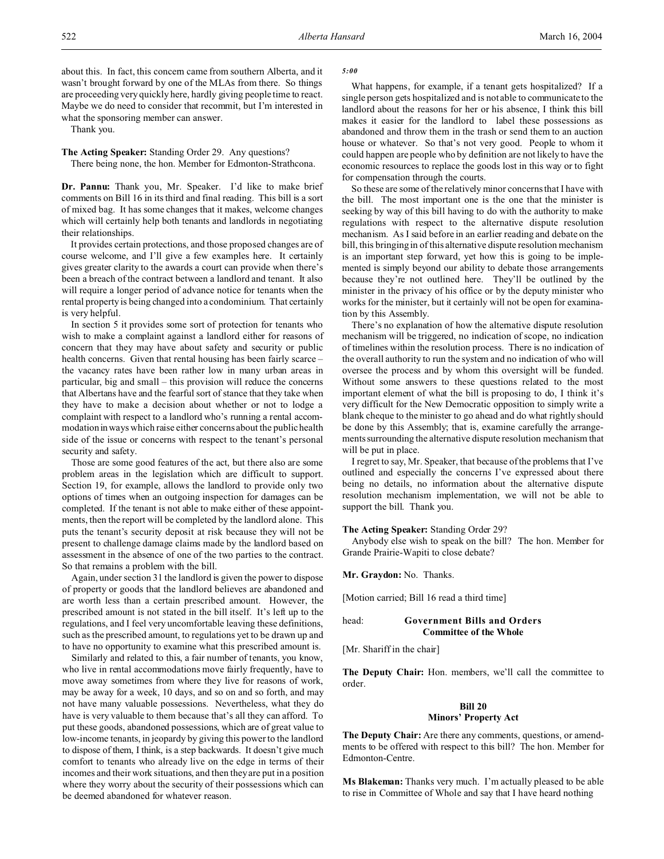about this. In fact, this concern came from southern Alberta, and it wasn't brought forward by one of the MLAs from there. So things are proceeding very quickly here, hardly giving people time to react. Maybe we do need to consider that recommit, but I'm interested in what the sponsoring member can answer.

Thank you.

**The Acting Speaker:** Standing Order 29. Any questions?

There being none, the hon. Member for Edmonton-Strathcona.

**Dr. Pannu:** Thank you, Mr. Speaker. I'd like to make brief comments on Bill 16 in its third and final reading. This bill is a sort of mixed bag. It has some changes that it makes, welcome changes which will certainly help both tenants and landlords in negotiating their relationships.

It provides certain protections, and those proposed changes are of course welcome, and I'll give a few examples here. It certainly gives greater clarity to the awards a court can provide when there's been a breach of the contract between a landlord and tenant. It also will require a longer period of advance notice for tenants when the rental property is being changed into a condominium. That certainly is very helpful.

In section 5 it provides some sort of protection for tenants who wish to make a complaint against a landlord either for reasons of concern that they may have about safety and security or public health concerns. Given that rental housing has been fairly scarce – the vacancy rates have been rather low in many urban areas in particular, big and small – this provision will reduce the concerns that Albertans have and the fearful sort of stance that they take when they have to make a decision about whether or not to lodge a complaint with respect to a landlord who's running a rental accommodation in ways which raise either concerns about the public health side of the issue or concerns with respect to the tenant's personal security and safety.

Those are some good features of the act, but there also are some problem areas in the legislation which are difficult to support. Section 19, for example, allows the landlord to provide only two options of times when an outgoing inspection for damages can be completed. If the tenant is not able to make either of these appointments, then the report will be completed by the landlord alone. This puts the tenant's security deposit at risk because they will not be present to challenge damage claims made by the landlord based on assessment in the absence of one of the two parties to the contract. So that remains a problem with the bill.

Again, under section 31 the landlord is given the power to dispose of property or goods that the landlord believes are abandoned and are worth less than a certain prescribed amount. However, the prescribed amount is not stated in the bill itself. It's left up to the regulations, and I feel very uncomfortable leaving these definitions, such as the prescribed amount, to regulations yet to be drawn up and to have no opportunity to examine what this prescribed amount is.

Similarly and related to this, a fair number of tenants, you know, who live in rental accommodations move fairly frequently, have to move away sometimes from where they live for reasons of work, may be away for a week, 10 days, and so on and so forth, and may not have many valuable possessions. Nevertheless, what they do have is very valuable to them because that's all they can afford. To put these goods, abandoned possessions, which are of great value to low-income tenants, in jeopardy by giving this power to the landlord to dispose of them, I think, is a step backwards. It doesn't give much comfort to tenants who already live on the edge in terms of their incomes and their work situations, and then they are put in a position where they worry about the security of their possessions which can be deemed abandoned for whatever reason.

*5:00*

What happens, for example, if a tenant gets hospitalized? If a single person gets hospitalized and is not able to communicate to the landlord about the reasons for her or his absence, I think this bill makes it easier for the landlord to label these possessions as abandoned and throw them in the trash or send them to an auction house or whatever. So that's not very good. People to whom it could happen are people who by definition are not likely to have the economic resources to replace the goods lost in this way or to fight for compensation through the courts.

So these are some of the relatively minor concerns that I have with the bill. The most important one is the one that the minister is seeking by way of this bill having to do with the authority to make regulations with respect to the alternative dispute resolution mechanism. As I said before in an earlier reading and debate on the bill, this bringing in of this alternative dispute resolution mechanism is an important step forward, yet how this is going to be implemented is simply beyond our ability to debate those arrangements because they're not outlined here. They'll be outlined by the minister in the privacy of his office or by the deputy minister who works for the minister, but it certainly will not be open for examination by this Assembly.

There's no explanation of how the alternative dispute resolution mechanism will be triggered, no indication of scope, no indication of timelines within the resolution process. There is no indication of the overall authority to run the system and no indication of who will oversee the process and by whom this oversight will be funded. Without some answers to these questions related to the most important element of what the bill is proposing to do, I think it's very difficult for the New Democratic opposition to simply write a blank cheque to the minister to go ahead and do what rightly should be done by this Assembly; that is, examine carefully the arrangements surrounding the alternative dispute resolution mechanism that will be put in place.

I regret to say, Mr. Speaker, that because of the problems that I've outlined and especially the concerns I've expressed about there being no details, no information about the alternative dispute resolution mechanism implementation, we will not be able to support the bill. Thank you.

### **The Acting Speaker:** Standing Order 29?

Anybody else wish to speak on the bill? The hon. Member for Grande Prairie-Wapiti to close debate?

**Mr. Graydon:** No. Thanks.

[Motion carried; Bill 16 read a third time]

# head: **Government Bills and Orders Committee of the Whole**

[Mr. Shariff in the chair]

**The Deputy Chair:** Hon. members, we'll call the committee to order.

### **Bill 20**

#### **Minors' Property Act**

**The Deputy Chair:** Are there any comments, questions, or amendments to be offered with respect to this bill? The hon. Member for Edmonton-Centre.

**Ms Blakeman:** Thanks very much. I'm actually pleased to be able to rise in Committee of Whole and say that I have heard nothing